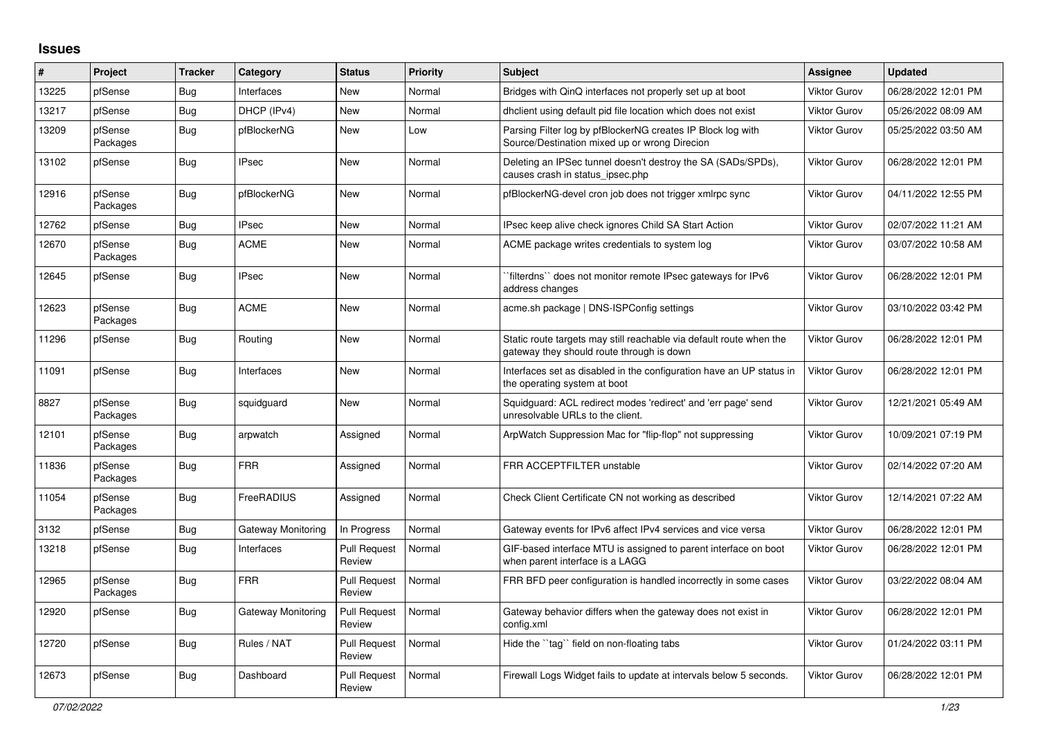## **Issues**

| #     | Project             | <b>Tracker</b> | Category           | <b>Status</b>                 | <b>Priority</b> | <b>Subject</b>                                                                                                   | <b>Assignee</b>     | <b>Updated</b>      |
|-------|---------------------|----------------|--------------------|-------------------------------|-----------------|------------------------------------------------------------------------------------------------------------------|---------------------|---------------------|
| 13225 | pfSense             | Bug            | Interfaces         | <b>New</b>                    | Normal          | Bridges with QinQ interfaces not properly set up at boot                                                         | Viktor Gurov        | 06/28/2022 12:01 PM |
| 13217 | pfSense             | Bug            | DHCP (IPv4)        | <b>New</b>                    | Normal          | dhclient using default pid file location which does not exist                                                    | Viktor Gurov        | 05/26/2022 08:09 AM |
| 13209 | pfSense<br>Packages | <b>Bug</b>     | pfBlockerNG        | New                           | Low             | Parsing Filter log by pfBlockerNG creates IP Block log with<br>Source/Destination mixed up or wrong Direcion     | Viktor Gurov        | 05/25/2022 03:50 AM |
| 13102 | pfSense             | <b>Bug</b>     | <b>IPsec</b>       | New                           | Normal          | Deleting an IPSec tunnel doesn't destroy the SA (SADs/SPDs),<br>causes crash in status ipsec.php                 | Viktor Gurov        | 06/28/2022 12:01 PM |
| 12916 | pfSense<br>Packages | Bug            | pfBlockerNG        | New                           | Normal          | pfBlockerNG-devel cron job does not trigger xmlrpc sync                                                          | Viktor Gurov        | 04/11/2022 12:55 PM |
| 12762 | pfSense             | <b>Bug</b>     | <b>IPsec</b>       | New                           | Normal          | IPsec keep alive check ignores Child SA Start Action                                                             | Viktor Gurov        | 02/07/2022 11:21 AM |
| 12670 | pfSense<br>Packages | Bug            | <b>ACME</b>        | New                           | Normal          | ACME package writes credentials to system log                                                                    | Viktor Gurov        | 03/07/2022 10:58 AM |
| 12645 | pfSense             | <b>Bug</b>     | IPsec              | New                           | Normal          | filterdns" does not monitor remote IPsec gateways for IPv6<br>address changes                                    | Viktor Gurov        | 06/28/2022 12:01 PM |
| 12623 | pfSense<br>Packages | <b>Bug</b>     | <b>ACME</b>        | New                           | Normal          | acme.sh package   DNS-ISPConfig settings                                                                         | Viktor Gurov        | 03/10/2022 03:42 PM |
| 11296 | pfSense             | Bug            | Routing            | New                           | Normal          | Static route targets may still reachable via default route when the<br>gateway they should route through is down | Viktor Gurov        | 06/28/2022 12:01 PM |
| 11091 | pfSense             | <b>Bug</b>     | Interfaces         | New                           | Normal          | Interfaces set as disabled in the configuration have an UP status in<br>the operating system at boot             | Viktor Gurov        | 06/28/2022 12:01 PM |
| 8827  | pfSense<br>Packages | <b>Bug</b>     | squidguard         | New                           | Normal          | Squidguard: ACL redirect modes 'redirect' and 'err page' send<br>unresolvable URLs to the client.                | Viktor Gurov        | 12/21/2021 05:49 AM |
| 12101 | pfSense<br>Packages | Bug            | arpwatch           | Assigned                      | Normal          | ArpWatch Suppression Mac for "flip-flop" not suppressing                                                         | Viktor Gurov        | 10/09/2021 07:19 PM |
| 11836 | pfSense<br>Packages | <b>Bug</b>     | <b>FRR</b>         | Assigned                      | Normal          | FRR ACCEPTFILTER unstable                                                                                        | Viktor Gurov        | 02/14/2022 07:20 AM |
| 11054 | pfSense<br>Packages | <b>Bug</b>     | FreeRADIUS         | Assigned                      | Normal          | Check Client Certificate CN not working as described                                                             | Viktor Gurov        | 12/14/2021 07:22 AM |
| 3132  | pfSense             | Bug            | Gateway Monitoring | In Progress                   | Normal          | Gateway events for IPv6 affect IPv4 services and vice versa                                                      | Viktor Gurov        | 06/28/2022 12:01 PM |
| 13218 | pfSense             | <b>Bug</b>     | Interfaces         | <b>Pull Request</b><br>Review | Normal          | GIF-based interface MTU is assigned to parent interface on boot<br>when parent interface is a LAGG               | Viktor Gurov        | 06/28/2022 12:01 PM |
| 12965 | pfSense<br>Packages | Bug            | <b>FRR</b>         | <b>Pull Request</b><br>Review | Normal          | FRR BFD peer configuration is handled incorrectly in some cases                                                  | <b>Viktor Gurov</b> | 03/22/2022 08:04 AM |
| 12920 | pfSense             | <b>Bug</b>     | Gateway Monitoring | <b>Pull Request</b><br>Review | Normal          | Gateway behavior differs when the gateway does not exist in<br>config.xml                                        | Viktor Gurov        | 06/28/2022 12:01 PM |
| 12720 | pfSense             | <b>Bug</b>     | Rules / NAT        | Pull Request<br>Review        | Normal          | Hide the "tag" field on non-floating tabs                                                                        | Viktor Gurov        | 01/24/2022 03:11 PM |
| 12673 | pfSense             | Bug            | Dashboard          | <b>Pull Request</b><br>Review | Normal          | Firewall Logs Widget fails to update at intervals below 5 seconds.                                               | Viktor Gurov        | 06/28/2022 12:01 PM |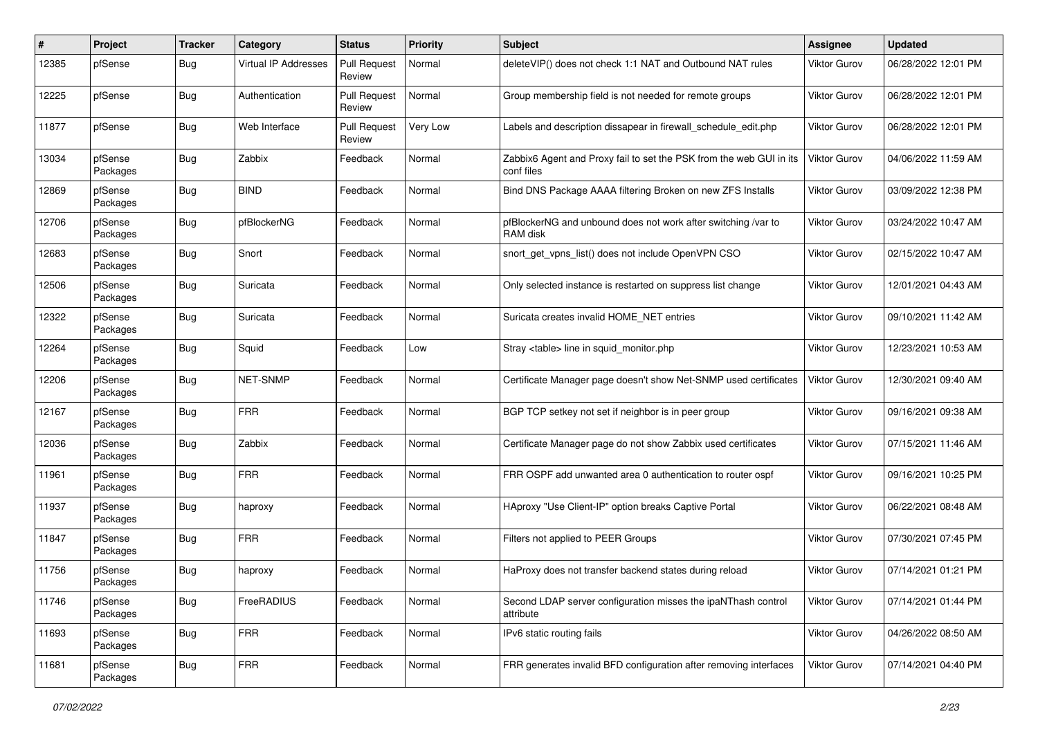| #     | Project             | <b>Tracker</b> | Category                    | <b>Status</b>                 | Priority | Subject                                                                           | <b>Assignee</b>     | <b>Updated</b>      |
|-------|---------------------|----------------|-----------------------------|-------------------------------|----------|-----------------------------------------------------------------------------------|---------------------|---------------------|
| 12385 | pfSense             | <b>Bug</b>     | <b>Virtual IP Addresses</b> | <b>Pull Request</b><br>Review | Normal   | deleteVIP() does not check 1:1 NAT and Outbound NAT rules                         | <b>Viktor Gurov</b> | 06/28/2022 12:01 PM |
| 12225 | pfSense             | <b>Bug</b>     | Authentication              | <b>Pull Request</b><br>Review | Normal   | Group membership field is not needed for remote groups                            | <b>Viktor Gurov</b> | 06/28/2022 12:01 PM |
| 11877 | pfSense             | <b>Bug</b>     | Web Interface               | <b>Pull Request</b><br>Review | Very Low | Labels and description dissapear in firewall schedule edit.php                    | <b>Viktor Gurov</b> | 06/28/2022 12:01 PM |
| 13034 | pfSense<br>Packages | <b>Bug</b>     | Zabbix                      | Feedback                      | Normal   | Zabbix6 Agent and Proxy fail to set the PSK from the web GUI in its<br>conf files | <b>Viktor Gurov</b> | 04/06/2022 11:59 AM |
| 12869 | pfSense<br>Packages | <b>Bug</b>     | <b>BIND</b>                 | Feedback                      | Normal   | Bind DNS Package AAAA filtering Broken on new ZFS Installs                        | <b>Viktor Gurov</b> | 03/09/2022 12:38 PM |
| 12706 | pfSense<br>Packages | Bug            | pfBlockerNG                 | Feedback                      | Normal   | pfBlockerNG and unbound does not work after switching /var to<br>RAM disk         | <b>Viktor Gurov</b> | 03/24/2022 10:47 AM |
| 12683 | pfSense<br>Packages | <b>Bug</b>     | Snort                       | Feedback                      | Normal   | snort get vpns list() does not include OpenVPN CSO                                | <b>Viktor Gurov</b> | 02/15/2022 10:47 AM |
| 12506 | pfSense<br>Packages | <b>Bug</b>     | Suricata                    | Feedback                      | Normal   | Only selected instance is restarted on suppress list change                       | <b>Viktor Gurov</b> | 12/01/2021 04:43 AM |
| 12322 | pfSense<br>Packages | <b>Bug</b>     | Suricata                    | Feedback                      | Normal   | Suricata creates invalid HOME_NET entries                                         | <b>Viktor Gurov</b> | 09/10/2021 11:42 AM |
| 12264 | pfSense<br>Packages | <b>Bug</b>     | Squid                       | Feedback                      | Low      | Stray <table> line in squid monitor.php</table>                                   | <b>Viktor Gurov</b> | 12/23/2021 10:53 AM |
| 12206 | pfSense<br>Packages | <b>Bug</b>     | NET-SNMP                    | Feedback                      | Normal   | Certificate Manager page doesn't show Net-SNMP used certificates                  | <b>Viktor Gurov</b> | 12/30/2021 09:40 AM |
| 12167 | pfSense<br>Packages | Bug            | <b>FRR</b>                  | Feedback                      | Normal   | BGP TCP setkey not set if neighbor is in peer group                               | <b>Viktor Gurov</b> | 09/16/2021 09:38 AM |
| 12036 | pfSense<br>Packages | Bug            | Zabbix                      | Feedback                      | Normal   | Certificate Manager page do not show Zabbix used certificates                     | <b>Viktor Gurov</b> | 07/15/2021 11:46 AM |
| 11961 | pfSense<br>Packages | Bug            | <b>FRR</b>                  | Feedback                      | Normal   | FRR OSPF add unwanted area 0 authentication to router ospf                        | <b>Viktor Gurov</b> | 09/16/2021 10:25 PM |
| 11937 | pfSense<br>Packages | <b>Bug</b>     | haproxy                     | Feedback                      | Normal   | HAproxy "Use Client-IP" option breaks Captive Portal                              | <b>Viktor Gurov</b> | 06/22/2021 08:48 AM |
| 11847 | pfSense<br>Packages | <b>Bug</b>     | <b>FRR</b>                  | Feedback                      | Normal   | Filters not applied to PEER Groups                                                | <b>Viktor Gurov</b> | 07/30/2021 07:45 PM |
| 11756 | pfSense<br>Packages | <b>Bug</b>     | haproxy                     | Feedback                      | Normal   | HaProxy does not transfer backend states during reload                            | Viktor Gurov        | 07/14/2021 01:21 PM |
| 11746 | pfSense<br>Packages | <b>Bug</b>     | FreeRADIUS                  | Feedback                      | Normal   | Second LDAP server configuration misses the ipaNThash control<br>attribute        | <b>Viktor Gurov</b> | 07/14/2021 01:44 PM |
| 11693 | pfSense<br>Packages | <b>Bug</b>     | <b>FRR</b>                  | Feedback                      | Normal   | IPv6 static routing fails                                                         | <b>Viktor Gurov</b> | 04/26/2022 08:50 AM |
| 11681 | pfSense<br>Packages | <b>Bug</b>     | <b>FRR</b>                  | Feedback                      | Normal   | FRR generates invalid BFD configuration after removing interfaces                 | <b>Viktor Gurov</b> | 07/14/2021 04:40 PM |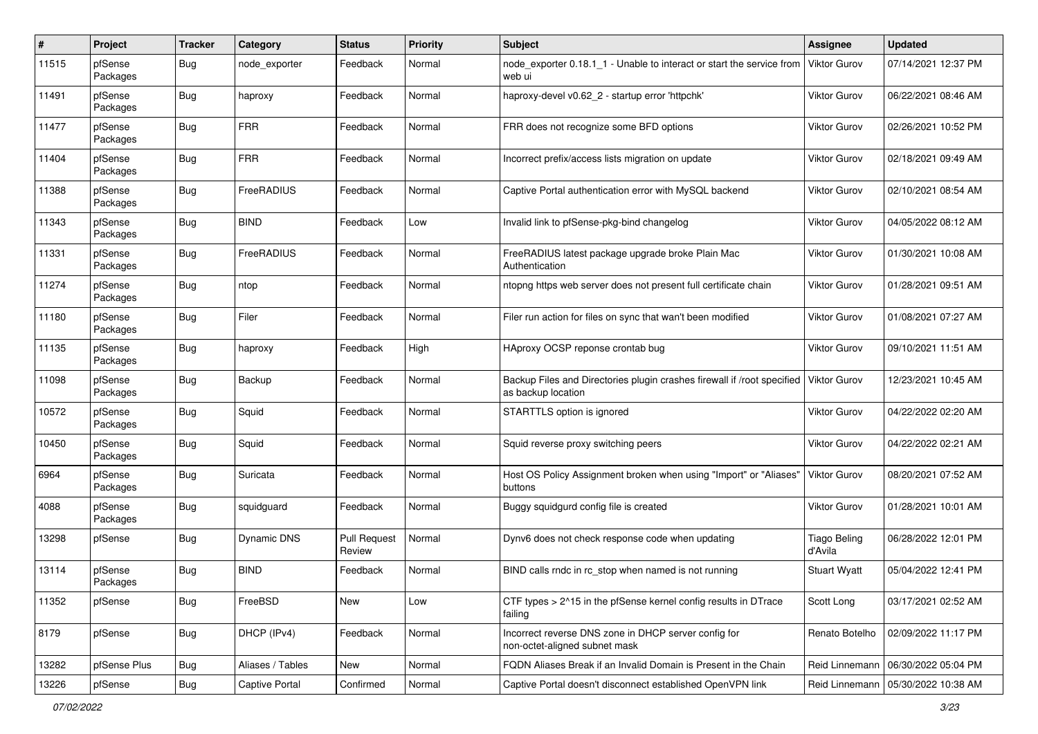| $\pmb{\#}$ | Project             | <b>Tracker</b> | Category         | <b>Status</b>                 | <b>Priority</b> | <b>Subject</b>                                                                                | <b>Assignee</b>                | <b>Updated</b>      |
|------------|---------------------|----------------|------------------|-------------------------------|-----------------|-----------------------------------------------------------------------------------------------|--------------------------------|---------------------|
| 11515      | pfSense<br>Packages | <b>Bug</b>     | node exporter    | Feedback                      | Normal          | node exporter 0.18.1 1 - Unable to interact or start the service from<br>web ui               | <b>Viktor Gurov</b>            | 07/14/2021 12:37 PM |
| 11491      | pfSense<br>Packages | <b>Bug</b>     | haproxy          | Feedback                      | Normal          | haproxy-devel v0.62 2 - startup error 'httpchk'                                               | Viktor Gurov                   | 06/22/2021 08:46 AM |
| 11477      | pfSense<br>Packages | <b>Bug</b>     | <b>FRR</b>       | Feedback                      | Normal          | FRR does not recognize some BFD options                                                       | Viktor Gurov                   | 02/26/2021 10:52 PM |
| 11404      | pfSense<br>Packages | <b>Bug</b>     | <b>FRR</b>       | Feedback                      | Normal          | Incorrect prefix/access lists migration on update                                             | Viktor Gurov                   | 02/18/2021 09:49 AM |
| 11388      | pfSense<br>Packages | <b>Bug</b>     | FreeRADIUS       | Feedback                      | Normal          | Captive Portal authentication error with MySQL backend                                        | Viktor Gurov                   | 02/10/2021 08:54 AM |
| 11343      | pfSense<br>Packages | Bug            | <b>BIND</b>      | Feedback                      | Low             | Invalid link to pfSense-pkg-bind changelog                                                    | <b>Viktor Gurov</b>            | 04/05/2022 08:12 AM |
| 11331      | pfSense<br>Packages | <b>Bug</b>     | FreeRADIUS       | Feedback                      | Normal          | FreeRADIUS latest package upgrade broke Plain Mac<br>Authentication                           | Viktor Gurov                   | 01/30/2021 10:08 AM |
| 11274      | pfSense<br>Packages | <b>Bug</b>     | ntop             | Feedback                      | Normal          | ntopng https web server does not present full certificate chain                               | <b>Viktor Gurov</b>            | 01/28/2021 09:51 AM |
| 11180      | pfSense<br>Packages | <b>Bug</b>     | Filer            | Feedback                      | Normal          | Filer run action for files on sync that wan't been modified                                   | Viktor Gurov                   | 01/08/2021 07:27 AM |
| 11135      | pfSense<br>Packages | <b>Bug</b>     | haproxy          | Feedback                      | High            | HAproxy OCSP reponse crontab bug                                                              | Viktor Gurov                   | 09/10/2021 11:51 AM |
| 11098      | pfSense<br>Packages | <b>Bug</b>     | Backup           | Feedback                      | Normal          | Backup Files and Directories plugin crashes firewall if /root specified<br>as backup location | <b>Viktor Gurov</b>            | 12/23/2021 10:45 AM |
| 10572      | pfSense<br>Packages | <b>Bug</b>     | Squid            | Feedback                      | Normal          | STARTTLS option is ignored                                                                    | <b>Viktor Gurov</b>            | 04/22/2022 02:20 AM |
| 10450      | pfSense<br>Packages | Bug            | Squid            | Feedback                      | Normal          | Squid reverse proxy switching peers                                                           | Viktor Gurov                   | 04/22/2022 02:21 AM |
| 6964       | pfSense<br>Packages | <b>Bug</b>     | Suricata         | Feedback                      | Normal          | Host OS Policy Assignment broken when using "Import" or "Aliases"<br>buttons                  | <b>Viktor Gurov</b>            | 08/20/2021 07:52 AM |
| 4088       | pfSense<br>Packages | <b>Bug</b>     | squidguard       | Feedback                      | Normal          | Buggy squidgurd config file is created                                                        | <b>Viktor Gurov</b>            | 01/28/2021 10:01 AM |
| 13298      | pfSense             | <b>Bug</b>     | Dynamic DNS      | <b>Pull Request</b><br>Review | Normal          | Dynv6 does not check response code when updating                                              | <b>Tiago Beling</b><br>d'Avila | 06/28/2022 12:01 PM |
| 13114      | pfSense<br>Packages | Bug            | <b>BIND</b>      | Feedback                      | Normal          | BIND calls rndc in rc_stop when named is not running                                          | <b>Stuart Wyatt</b>            | 05/04/2022 12:41 PM |
| 11352      | pfSense             | Bug            | FreeBSD          | New                           | Low             | CTF types > 2^15 in the pfSense kernel config results in DTrace<br>failing                    | Scott Long                     | 03/17/2021 02:52 AM |
| 8179       | pfSense             | Bug            | DHCP (IPv4)      | Feedback                      | Normal          | Incorrect reverse DNS zone in DHCP server config for<br>non-octet-aligned subnet mask         | Renato Botelho                 | 02/09/2022 11:17 PM |
| 13282      | pfSense Plus        | Bug            | Aliases / Tables | New                           | Normal          | FQDN Aliases Break if an Invalid Domain is Present in the Chain                               | Reid Linnemann                 | 06/30/2022 05:04 PM |
| 13226      | pfSense             | Bug            | Captive Portal   | Confirmed                     | Normal          | Captive Portal doesn't disconnect established OpenVPN link                                    | Reid Linnemann                 | 05/30/2022 10:38 AM |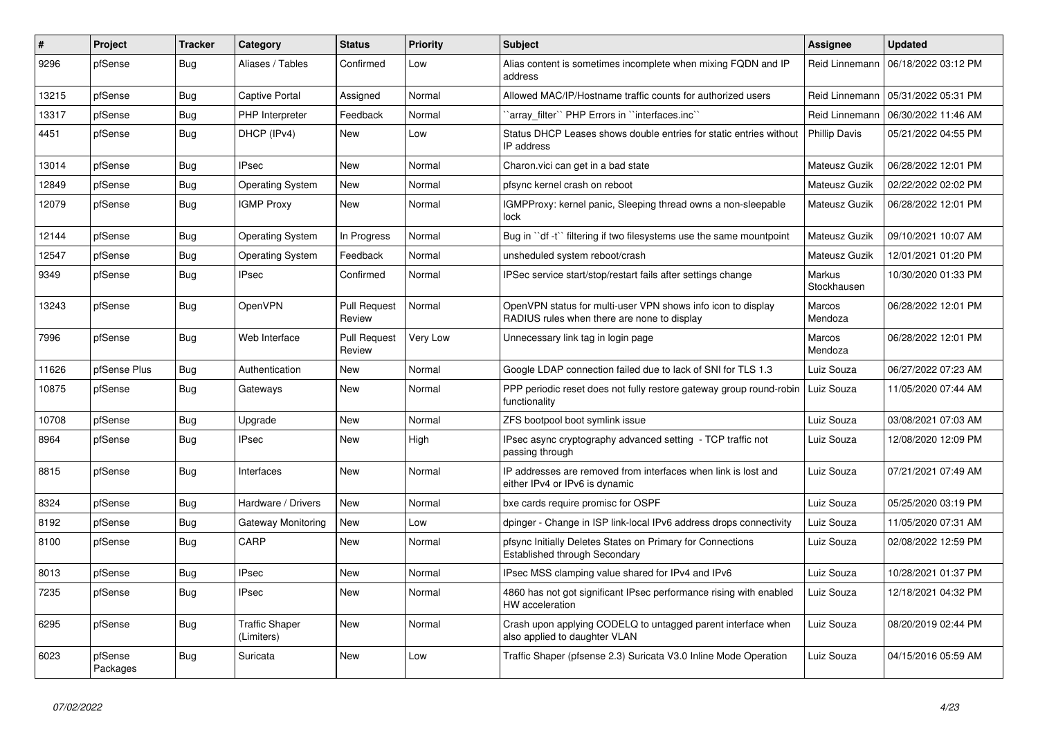| #     | Project             | <b>Tracker</b> | Category                            | <b>Status</b>                 | <b>Priority</b> | <b>Subject</b>                                                                                              | <b>Assignee</b>       | <b>Updated</b>      |
|-------|---------------------|----------------|-------------------------------------|-------------------------------|-----------------|-------------------------------------------------------------------------------------------------------------|-----------------------|---------------------|
| 9296  | pfSense             | Bug            | Aliases / Tables                    | Confirmed                     | Low             | Alias content is sometimes incomplete when mixing FQDN and IP<br>address                                    | Reid Linnemann        | 06/18/2022 03:12 PM |
| 13215 | pfSense             | <b>Bug</b>     | <b>Captive Portal</b>               | Assigned                      | Normal          | Allowed MAC/IP/Hostname traffic counts for authorized users                                                 | Reid Linnemann        | 05/31/2022 05:31 PM |
| 13317 | pfSense             | <b>Bug</b>     | <b>PHP</b> Interpreter              | Feedback                      | Normal          | array filter" PHP Errors in "interfaces.inc"                                                                | Reid Linnemann        | 06/30/2022 11:46 AM |
| 4451  | pfSense             | <b>Bug</b>     | DHCP (IPv4)                         | New                           | Low             | Status DHCP Leases shows double entries for static entries without<br>IP address                            | <b>Phillip Davis</b>  | 05/21/2022 04:55 PM |
| 13014 | pfSense             | <b>Bug</b>     | <b>IPsec</b>                        | <b>New</b>                    | Normal          | Charon.vici can get in a bad state                                                                          | Mateusz Guzik         | 06/28/2022 12:01 PM |
| 12849 | pfSense             | <b>Bug</b>     | <b>Operating System</b>             | New                           | Normal          | pfsync kernel crash on reboot                                                                               | Mateusz Guzik         | 02/22/2022 02:02 PM |
| 12079 | pfSense             | <b>Bug</b>     | <b>IGMP Proxy</b>                   | <b>New</b>                    | Normal          | IGMPProxy: kernel panic, Sleeping thread owns a non-sleepable<br>lock                                       | Mateusz Guzik         | 06/28/2022 12:01 PM |
| 12144 | pfSense             | <b>Bug</b>     | <b>Operating System</b>             | In Progress                   | Normal          | Bug in "df -t" filtering if two filesystems use the same mountpoint                                         | Mateusz Guzik         | 09/10/2021 10:07 AM |
| 12547 | pfSense             | Bug            | <b>Operating System</b>             | Feedback                      | Normal          | unsheduled system reboot/crash                                                                              | Mateusz Guzik         | 12/01/2021 01:20 PM |
| 9349  | pfSense             | <b>Bug</b>     | IPsec                               | Confirmed                     | Normal          | IPSec service start/stop/restart fails after settings change                                                | Markus<br>Stockhausen | 10/30/2020 01:33 PM |
| 13243 | pfSense             | <b>Bug</b>     | OpenVPN                             | <b>Pull Request</b><br>Review | Normal          | OpenVPN status for multi-user VPN shows info icon to display<br>RADIUS rules when there are none to display | Marcos<br>Mendoza     | 06/28/2022 12:01 PM |
| 7996  | pfSense             | Bug            | Web Interface                       | <b>Pull Request</b><br>Review | Very Low        | Unnecessary link tag in login page                                                                          | Marcos<br>Mendoza     | 06/28/2022 12:01 PM |
| 11626 | pfSense Plus        | <b>Bug</b>     | Authentication                      | New                           | Normal          | Google LDAP connection failed due to lack of SNI for TLS 1.3                                                | Luiz Souza            | 06/27/2022 07:23 AM |
| 10875 | pfSense             | Bug            | Gateways                            | <b>New</b>                    | Normal          | PPP periodic reset does not fully restore gateway group round-robin<br>functionality                        | Luiz Souza            | 11/05/2020 07:44 AM |
| 10708 | pfSense             | <b>Bug</b>     | Upgrade                             | New                           | Normal          | ZFS bootpool boot symlink issue                                                                             | Luiz Souza            | 03/08/2021 07:03 AM |
| 8964  | pfSense             | <b>Bug</b>     | <b>IPsec</b>                        | <b>New</b>                    | High            | IPsec async cryptography advanced setting - TCP traffic not<br>passing through                              | Luiz Souza            | 12/08/2020 12:09 PM |
| 8815  | pfSense             | <b>Bug</b>     | Interfaces                          | New                           | Normal          | IP addresses are removed from interfaces when link is lost and<br>either IPv4 or IPv6 is dynamic            | Luiz Souza            | 07/21/2021 07:49 AM |
| 8324  | pfSense             | <b>Bug</b>     | Hardware / Drivers                  | <b>New</b>                    | Normal          | bxe cards require promisc for OSPF                                                                          | Luiz Souza            | 05/25/2020 03:19 PM |
| 8192  | pfSense             | <b>Bug</b>     | Gateway Monitoring                  | <b>New</b>                    | Low             | dpinger - Change in ISP link-local IPv6 address drops connectivity                                          | Luiz Souza            | 11/05/2020 07:31 AM |
| 8100  | pfSense             | Bug            | CARP                                | New                           | Normal          | pfsync Initially Deletes States on Primary for Connections<br>Established through Secondary                 | Luiz Souza            | 02/08/2022 12:59 PM |
| 8013  | pfSense             | <b>Bug</b>     | <b>IPsec</b>                        | New                           | Normal          | IPsec MSS clamping value shared for IPv4 and IPv6                                                           | Luiz Souza            | 10/28/2021 01:37 PM |
| 7235  | pfSense             | Bug            | <b>IPsec</b>                        | New                           | Normal          | 4860 has not got significant IPsec performance rising with enabled<br>HW acceleration                       | Luiz Souza            | 12/18/2021 04:32 PM |
| 6295  | pfSense             | Bug            | <b>Traffic Shaper</b><br>(Limiters) | New                           | Normal          | Crash upon applying CODELQ to untagged parent interface when<br>also applied to daughter VLAN               | Luiz Souza            | 08/20/2019 02:44 PM |
| 6023  | pfSense<br>Packages | Bug            | Suricata                            | <b>New</b>                    | Low             | Traffic Shaper (pfsense 2.3) Suricata V3.0 Inline Mode Operation                                            | Luiz Souza            | 04/15/2016 05:59 AM |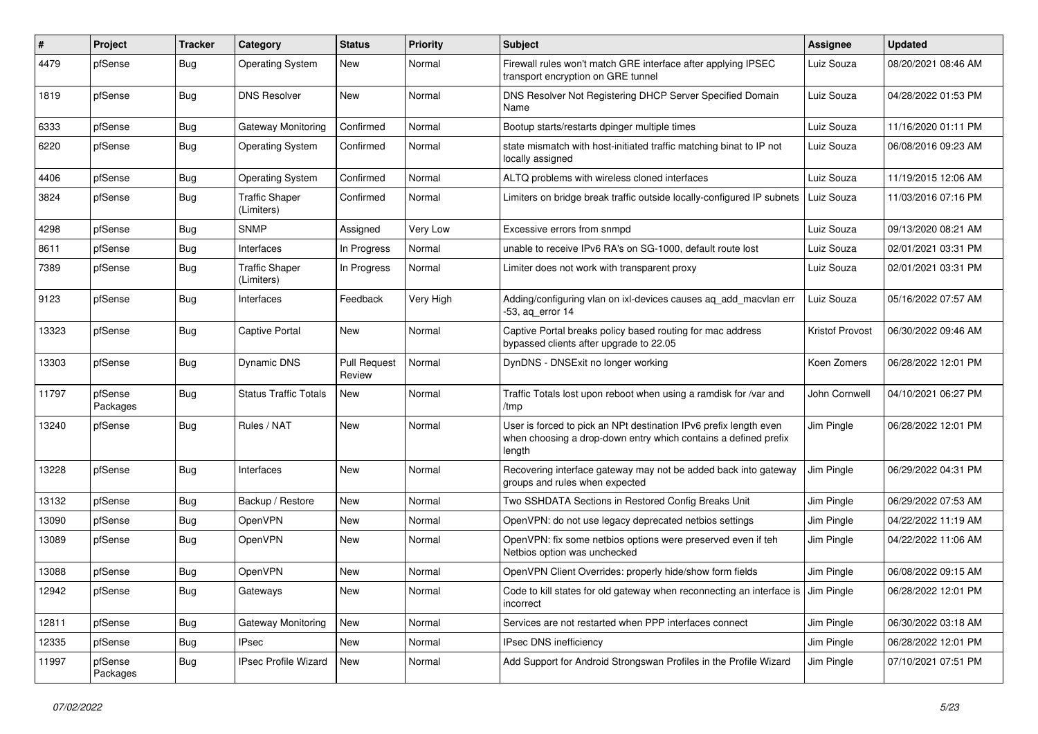| $\#$  | Project             | <b>Tracker</b> | Category                            | <b>Status</b>                 | Priority  | <b>Subject</b>                                                                                                                                 | <b>Assignee</b>        | <b>Updated</b>      |
|-------|---------------------|----------------|-------------------------------------|-------------------------------|-----------|------------------------------------------------------------------------------------------------------------------------------------------------|------------------------|---------------------|
| 4479  | pfSense             | Bug            | <b>Operating System</b>             | New                           | Normal    | Firewall rules won't match GRE interface after applying IPSEC<br>transport encryption on GRE tunnel                                            | Luiz Souza             | 08/20/2021 08:46 AM |
| 1819  | pfSense             | Bug            | <b>DNS Resolver</b>                 | New                           | Normal    | DNS Resolver Not Registering DHCP Server Specified Domain<br>Name                                                                              | Luiz Souza             | 04/28/2022 01:53 PM |
| 6333  | pfSense             | <b>Bug</b>     | Gateway Monitoring                  | Confirmed                     | Normal    | Bootup starts/restarts dpinger multiple times                                                                                                  | Luiz Souza             | 11/16/2020 01:11 PM |
| 6220  | pfSense             | <b>Bug</b>     | <b>Operating System</b>             | Confirmed                     | Normal    | state mismatch with host-initiated traffic matching binat to IP not<br>locally assigned                                                        | Luiz Souza             | 06/08/2016 09:23 AM |
| 4406  | pfSense             | <b>Bug</b>     | <b>Operating System</b>             | Confirmed                     | Normal    | ALTQ problems with wireless cloned interfaces                                                                                                  | Luiz Souza             | 11/19/2015 12:06 AM |
| 3824  | pfSense             | <b>Bug</b>     | <b>Traffic Shaper</b><br>(Limiters) | Confirmed                     | Normal    | Limiters on bridge break traffic outside locally-configured IP subnets                                                                         | Luiz Souza             | 11/03/2016 07:16 PM |
| 4298  | pfSense             | <b>Bug</b>     | <b>SNMP</b>                         | Assigned                      | Very Low  | Excessive errors from snmpd                                                                                                                    | Luiz Souza             | 09/13/2020 08:21 AM |
| 8611  | pfSense             | <b>Bug</b>     | Interfaces                          | In Progress                   | Normal    | unable to receive IPv6 RA's on SG-1000, default route lost                                                                                     | Luiz Souza             | 02/01/2021 03:31 PM |
| 7389  | pfSense             | <b>Bug</b>     | <b>Traffic Shaper</b><br>(Limiters) | In Progress                   | Normal    | Limiter does not work with transparent proxy                                                                                                   | Luiz Souza             | 02/01/2021 03:31 PM |
| 9123  | pfSense             | <b>Bug</b>     | Interfaces                          | Feedback                      | Very High | Adding/configuring vlan on ixl-devices causes aq_add_macvlan err<br>-53, aq_error 14                                                           | Luiz Souza             | 05/16/2022 07:57 AM |
| 13323 | pfSense             | <b>Bug</b>     | Captive Portal                      | New                           | Normal    | Captive Portal breaks policy based routing for mac address<br>bypassed clients after upgrade to 22.05                                          | <b>Kristof Provost</b> | 06/30/2022 09:46 AM |
| 13303 | pfSense             | <b>Bug</b>     | Dynamic DNS                         | <b>Pull Request</b><br>Review | Normal    | DynDNS - DNSExit no longer working                                                                                                             | Koen Zomers            | 06/28/2022 12:01 PM |
| 11797 | pfSense<br>Packages | <b>Bug</b>     | <b>Status Traffic Totals</b>        | New                           | Normal    | Traffic Totals lost upon reboot when using a ramdisk for /var and<br>/tmp                                                                      | John Cornwell          | 04/10/2021 06:27 PM |
| 13240 | pfSense             | Bug            | Rules / NAT                         | New                           | Normal    | User is forced to pick an NPt destination IPv6 prefix length even<br>when choosing a drop-down entry which contains a defined prefix<br>length | Jim Pingle             | 06/28/2022 12:01 PM |
| 13228 | pfSense             | <b>Bug</b>     | Interfaces                          | New                           | Normal    | Recovering interface gateway may not be added back into gateway<br>groups and rules when expected                                              | Jim Pingle             | 06/29/2022 04:31 PM |
| 13132 | pfSense             | <b>Bug</b>     | Backup / Restore                    | New                           | Normal    | Two SSHDATA Sections in Restored Config Breaks Unit                                                                                            | Jim Pingle             | 06/29/2022 07:53 AM |
| 13090 | pfSense             | <b>Bug</b>     | <b>OpenVPN</b>                      | New                           | Normal    | OpenVPN: do not use legacy deprecated netbios settings                                                                                         | Jim Pingle             | 04/22/2022 11:19 AM |
| 13089 | pfSense             | <b>Bug</b>     | OpenVPN                             | New                           | Normal    | OpenVPN: fix some netbios options were preserved even if teh<br>Netbios option was unchecked                                                   | Jim Pingle             | 04/22/2022 11:06 AM |
| 13088 | pfSense             | <b>Bug</b>     | OpenVPN                             | New                           | Normal    | OpenVPN Client Overrides: properly hide/show form fields                                                                                       | Jim Pingle             | 06/08/2022 09:15 AM |
| 12942 | pfSense             | <b>Bug</b>     | Gateways                            | New                           | Normal    | Code to kill states for old gateway when reconnecting an interface is J Jim Pingle<br>incorrect                                                |                        | 06/28/2022 12:01 PM |
| 12811 | pfSense             | <b>Bug</b>     | Gateway Monitoring                  | New                           | Normal    | Services are not restarted when PPP interfaces connect                                                                                         | Jim Pingle             | 06/30/2022 03:18 AM |
| 12335 | pfSense             | <b>Bug</b>     | IPsec                               | New                           | Normal    | IPsec DNS inefficiency                                                                                                                         | Jim Pingle             | 06/28/2022 12:01 PM |
| 11997 | pfSense<br>Packages | <b>Bug</b>     | IPsec Profile Wizard                | New                           | Normal    | Add Support for Android Strongswan Profiles in the Profile Wizard                                                                              | Jim Pingle             | 07/10/2021 07:51 PM |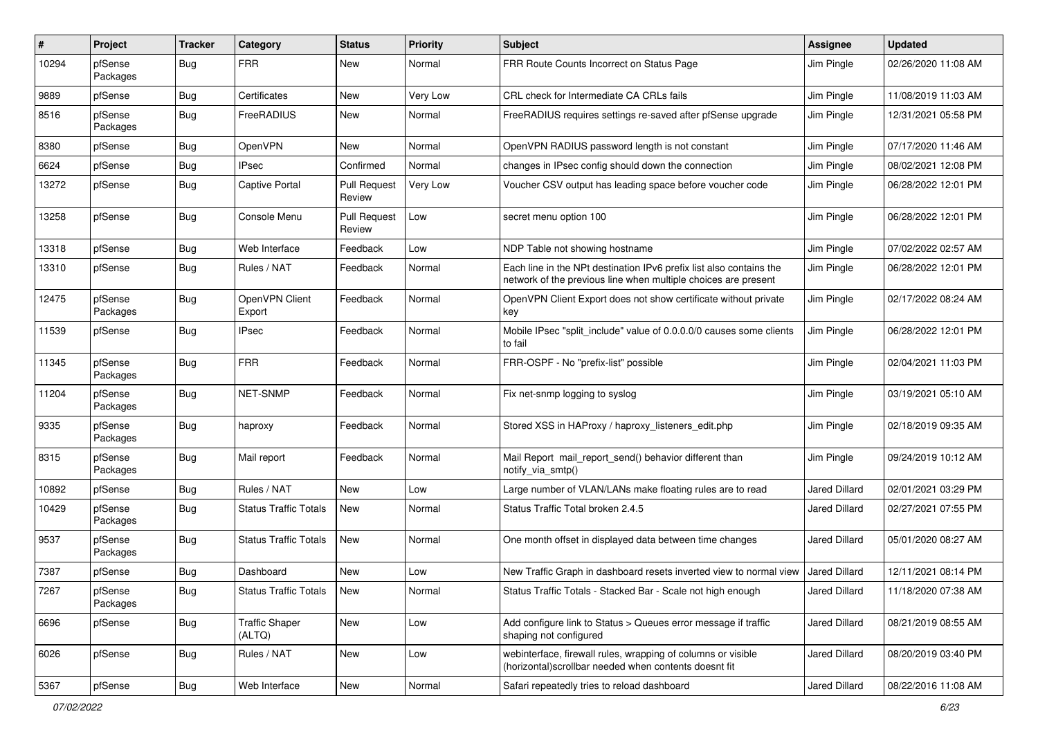| #     | Project             | <b>Tracker</b> | Category                        | <b>Status</b>                 | <b>Priority</b> | <b>Subject</b>                                                                                                                        | <b>Assignee</b>      | <b>Updated</b>      |
|-------|---------------------|----------------|---------------------------------|-------------------------------|-----------------|---------------------------------------------------------------------------------------------------------------------------------------|----------------------|---------------------|
| 10294 | pfSense<br>Packages | <b>Bug</b>     | <b>FRR</b>                      | New                           | Normal          | FRR Route Counts Incorrect on Status Page                                                                                             | Jim Pingle           | 02/26/2020 11:08 AM |
| 9889  | pfSense             | <b>Bug</b>     | Certificates                    | New                           | Very Low        | CRL check for Intermediate CA CRLs fails                                                                                              | Jim Pingle           | 11/08/2019 11:03 AM |
| 8516  | pfSense<br>Packages | Bug            | FreeRADIUS                      | New                           | Normal          | FreeRADIUS requires settings re-saved after pfSense upgrade                                                                           | Jim Pingle           | 12/31/2021 05:58 PM |
| 8380  | pfSense             | <b>Bug</b>     | OpenVPN                         | New                           | Normal          | OpenVPN RADIUS password length is not constant                                                                                        | Jim Pingle           | 07/17/2020 11:46 AM |
| 6624  | pfSense             | <b>Bug</b>     | <b>IPsec</b>                    | Confirmed                     | Normal          | changes in IPsec config should down the connection                                                                                    | Jim Pingle           | 08/02/2021 12:08 PM |
| 13272 | pfSense             | <b>Bug</b>     | <b>Captive Portal</b>           | <b>Pull Request</b><br>Review | Very Low        | Voucher CSV output has leading space before voucher code                                                                              | Jim Pingle           | 06/28/2022 12:01 PM |
| 13258 | pfSense             | <b>Bug</b>     | Console Menu                    | <b>Pull Request</b><br>Review | Low             | secret menu option 100                                                                                                                | Jim Pingle           | 06/28/2022 12:01 PM |
| 13318 | pfSense             | <b>Bug</b>     | Web Interface                   | Feedback                      | Low             | NDP Table not showing hostname                                                                                                        | Jim Pingle           | 07/02/2022 02:57 AM |
| 13310 | pfSense             | <b>Bug</b>     | Rules / NAT                     | Feedback                      | Normal          | Each line in the NPt destination IPv6 prefix list also contains the<br>network of the previous line when multiple choices are present | Jim Pingle           | 06/28/2022 12:01 PM |
| 12475 | pfSense<br>Packages | <b>Bug</b>     | OpenVPN Client<br>Export        | Feedback                      | Normal          | OpenVPN Client Export does not show certificate without private<br>key                                                                | Jim Pingle           | 02/17/2022 08:24 AM |
| 11539 | pfSense             | <b>Bug</b>     | <b>IPsec</b>                    | Feedback                      | Normal          | Mobile IPsec "split include" value of 0.0.0.0/0 causes some clients<br>to fail                                                        | Jim Pingle           | 06/28/2022 12:01 PM |
| 11345 | pfSense<br>Packages | <b>Bug</b>     | <b>FRR</b>                      | Feedback                      | Normal          | FRR-OSPF - No "prefix-list" possible                                                                                                  | Jim Pingle           | 02/04/2021 11:03 PM |
| 11204 | pfSense<br>Packages | <b>Bug</b>     | NET-SNMP                        | Feedback                      | Normal          | Fix net-snmp logging to syslog                                                                                                        | Jim Pingle           | 03/19/2021 05:10 AM |
| 9335  | pfSense<br>Packages | <b>Bug</b>     | haproxy                         | Feedback                      | Normal          | Stored XSS in HAProxy / haproxy_listeners_edit.php                                                                                    | Jim Pingle           | 02/18/2019 09:35 AM |
| 8315  | pfSense<br>Packages | Bug            | Mail report                     | Feedback                      | Normal          | Mail Report mail report send() behavior different than<br>notify_via_smtp()                                                           | Jim Pingle           | 09/24/2019 10:12 AM |
| 10892 | pfSense             | <b>Bug</b>     | Rules / NAT                     | <b>New</b>                    | Low             | Large number of VLAN/LANs make floating rules are to read                                                                             | <b>Jared Dillard</b> | 02/01/2021 03:29 PM |
| 10429 | pfSense<br>Packages | <b>Bug</b>     | <b>Status Traffic Totals</b>    | New                           | Normal          | Status Traffic Total broken 2.4.5                                                                                                     | Jared Dillard        | 02/27/2021 07:55 PM |
| 9537  | pfSense<br>Packages | <b>Bug</b>     | <b>Status Traffic Totals</b>    | New                           | Normal          | One month offset in displayed data between time changes                                                                               | Jared Dillard        | 05/01/2020 08:27 AM |
| 7387  | pfSense             | <b>Bug</b>     | Dashboard                       | New                           | Low             | New Traffic Graph in dashboard resets inverted view to normal view                                                                    | Jared Dillard        | 12/11/2021 08:14 PM |
| 7267  | pfSense<br>Packages | Bug            | <b>Status Traffic Totals</b>    | New                           | Normal          | Status Traffic Totals - Stacked Bar - Scale not high enough                                                                           | Jared Dillard        | 11/18/2020 07:38 AM |
| 6696  | pfSense             | <b>Bug</b>     | <b>Traffic Shaper</b><br>(ALTQ) | New                           | Low             | Add configure link to Status > Queues error message if traffic<br>shaping not configured                                              | Jared Dillard        | 08/21/2019 08:55 AM |
| 6026  | pfSense             | Bug            | Rules / NAT                     | New                           | Low             | webinterface, firewall rules, wrapping of columns or visible<br>(horizontal)scrollbar needed when contents doesnt fit                 | Jared Dillard        | 08/20/2019 03:40 PM |
| 5367  | pfSense             | <b>Bug</b>     | Web Interface                   | New                           | Normal          | Safari repeatedly tries to reload dashboard                                                                                           | Jared Dillard        | 08/22/2016 11:08 AM |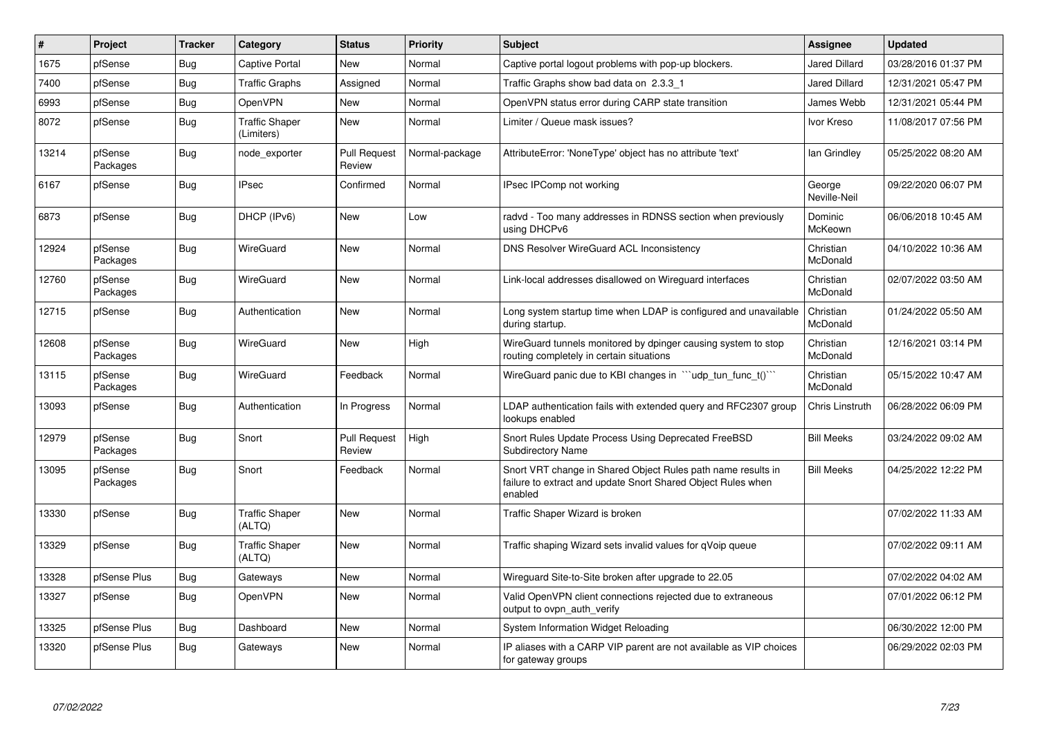| $\sharp$ | Project             | <b>Tracker</b> | Category                            | <b>Status</b>                 | <b>Priority</b> | <b>Subject</b>                                                                                                                          | <b>Assignee</b>        | <b>Updated</b>      |
|----------|---------------------|----------------|-------------------------------------|-------------------------------|-----------------|-----------------------------------------------------------------------------------------------------------------------------------------|------------------------|---------------------|
| 1675     | pfSense             | <b>Bug</b>     | Captive Portal                      | New                           | Normal          | Captive portal logout problems with pop-up blockers.                                                                                    | <b>Jared Dillard</b>   | 03/28/2016 01:37 PM |
| 7400     | pfSense             | <b>Bug</b>     | <b>Traffic Graphs</b>               | Assigned                      | Normal          | Traffic Graphs show bad data on 2.3.3 1                                                                                                 | <b>Jared Dillard</b>   | 12/31/2021 05:47 PM |
| 6993     | pfSense             | <b>Bug</b>     | OpenVPN                             | New                           | Normal          | OpenVPN status error during CARP state transition                                                                                       | James Webb             | 12/31/2021 05:44 PM |
| 8072     | pfSense             | <b>Bug</b>     | <b>Traffic Shaper</b><br>(Limiters) | New                           | Normal          | Limiter / Queue mask issues?                                                                                                            | Ivor Kreso             | 11/08/2017 07:56 PM |
| 13214    | pfSense<br>Packages | Bug            | node exporter                       | <b>Pull Request</b><br>Review | Normal-package  | AttributeError: 'NoneType' object has no attribute 'text'                                                                               | lan Grindley           | 05/25/2022 08:20 AM |
| 6167     | pfSense             | <b>Bug</b>     | <b>IPsec</b>                        | Confirmed                     | Normal          | IPsec IPComp not working                                                                                                                | George<br>Neville-Neil | 09/22/2020 06:07 PM |
| 6873     | pfSense             | <b>Bug</b>     | DHCP (IPv6)                         | New                           | Low             | radvd - Too many addresses in RDNSS section when previously<br>using DHCPv6                                                             | Dominic<br>McKeown     | 06/06/2018 10:45 AM |
| 12924    | pfSense<br>Packages | Bug            | WireGuard                           | <b>New</b>                    | Normal          | DNS Resolver WireGuard ACL Inconsistency                                                                                                | Christian<br>McDonald  | 04/10/2022 10:36 AM |
| 12760    | pfSense<br>Packages | <b>Bug</b>     | WireGuard                           | New                           | Normal          | Link-local addresses disallowed on Wireguard interfaces                                                                                 | Christian<br>McDonald  | 02/07/2022 03:50 AM |
| 12715    | pfSense             | <b>Bug</b>     | Authentication                      | <b>New</b>                    | Normal          | Long system startup time when LDAP is configured and unavailable<br>during startup.                                                     | Christian<br>McDonald  | 01/24/2022 05:50 AM |
| 12608    | pfSense<br>Packages | <b>Bug</b>     | WireGuard                           | <b>New</b>                    | High            | WireGuard tunnels monitored by dpinger causing system to stop<br>routing completely in certain situations                               | Christian<br>McDonald  | 12/16/2021 03:14 PM |
| 13115    | pfSense<br>Packages | <b>Bug</b>     | WireGuard                           | Feedback                      | Normal          | Wire Guard panic due to KBI changes in $\sqrt{u}$ udp tun func t() $\sqrt{u}$                                                           | Christian<br>McDonald  | 05/15/2022 10:47 AM |
| 13093    | pfSense             | Bug            | Authentication                      | In Progress                   | Normal          | LDAP authentication fails with extended query and RFC2307 group<br>lookups enabled                                                      | Chris Linstruth        | 06/28/2022 06:09 PM |
| 12979    | pfSense<br>Packages | Bug            | Snort                               | Pull Request<br>Review        | High            | Snort Rules Update Process Using Deprecated FreeBSD<br><b>Subdirectory Name</b>                                                         | <b>Bill Meeks</b>      | 03/24/2022 09:02 AM |
| 13095    | pfSense<br>Packages | Bug            | Snort                               | Feedback                      | Normal          | Snort VRT change in Shared Object Rules path name results in<br>failure to extract and update Snort Shared Object Rules when<br>enabled | <b>Bill Meeks</b>      | 04/25/2022 12:22 PM |
| 13330    | pfSense             | <b>Bug</b>     | <b>Traffic Shaper</b><br>(ALTQ)     | <b>New</b>                    | Normal          | Traffic Shaper Wizard is broken                                                                                                         |                        | 07/02/2022 11:33 AM |
| 13329    | pfSense             | Bug            | <b>Traffic Shaper</b><br>(ALTQ)     | <b>New</b>                    | Normal          | Traffic shaping Wizard sets invalid values for gVoip queue                                                                              |                        | 07/02/2022 09:11 AM |
| 13328    | pfSense Plus        | Bug            | Gateways                            | <b>New</b>                    | Normal          | Wireguard Site-to-Site broken after upgrade to 22.05                                                                                    |                        | 07/02/2022 04:02 AM |
| 13327    | pfSense             | <b>Bug</b>     | OpenVPN                             | <b>New</b>                    | Normal          | Valid OpenVPN client connections rejected due to extraneous<br>output to ovpn_auth_verify                                               |                        | 07/01/2022 06:12 PM |
| 13325    | pfSense Plus        | <b>Bug</b>     | Dashboard                           | <b>New</b>                    | Normal          | System Information Widget Reloading                                                                                                     |                        | 06/30/2022 12:00 PM |
| 13320    | pfSense Plus        | Bug            | Gateways                            | New                           | Normal          | IP aliases with a CARP VIP parent are not available as VIP choices<br>for gateway groups                                                |                        | 06/29/2022 02:03 PM |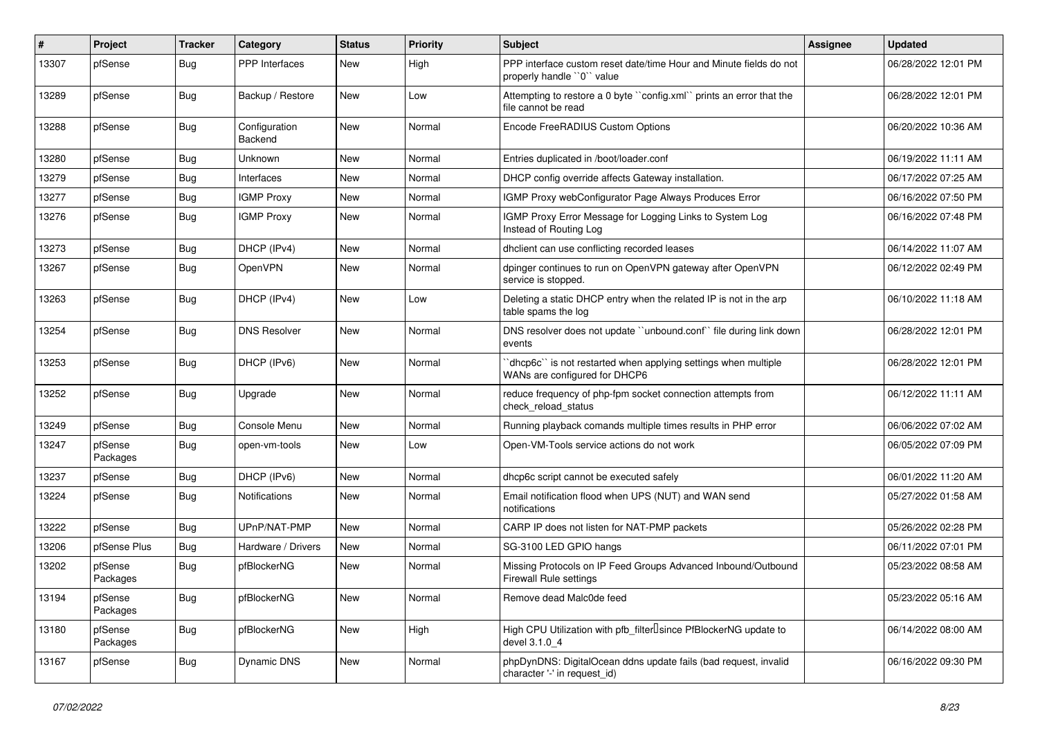| #     | Project             | <b>Tracker</b> | Category                 | <b>Status</b> | <b>Priority</b> | <b>Subject</b>                                                                                  | <b>Assignee</b> | <b>Updated</b>      |
|-------|---------------------|----------------|--------------------------|---------------|-----------------|-------------------------------------------------------------------------------------------------|-----------------|---------------------|
| 13307 | pfSense             | Bug            | <b>PPP</b> Interfaces    | New           | High            | PPP interface custom reset date/time Hour and Minute fields do not<br>properly handle "0" value |                 | 06/28/2022 12:01 PM |
| 13289 | pfSense             | Bug            | Backup / Restore         | New           | Low             | Attempting to restore a 0 byte "config.xml" prints an error that the<br>file cannot be read     |                 | 06/28/2022 12:01 PM |
| 13288 | pfSense             | <b>Bug</b>     | Configuration<br>Backend | New           | Normal          | Encode FreeRADIUS Custom Options                                                                |                 | 06/20/2022 10:36 AM |
| 13280 | pfSense             | <b>Bug</b>     | Unknown                  | New           | Normal          | Entries duplicated in /boot/loader.conf                                                         |                 | 06/19/2022 11:11 AM |
| 13279 | pfSense             | <b>Bug</b>     | Interfaces               | New           | Normal          | DHCP config override affects Gateway installation.                                              |                 | 06/17/2022 07:25 AM |
| 13277 | pfSense             | <b>Bug</b>     | <b>IGMP Proxy</b>        | New           | Normal          | IGMP Proxy webConfigurator Page Always Produces Error                                           |                 | 06/16/2022 07:50 PM |
| 13276 | pfSense             | <b>Bug</b>     | <b>IGMP Proxy</b>        | New           | Normal          | IGMP Proxy Error Message for Logging Links to System Log<br>Instead of Routing Log              |                 | 06/16/2022 07:48 PM |
| 13273 | pfSense             | <b>Bug</b>     | DHCP (IPv4)              | New           | Normal          | dhclient can use conflicting recorded leases                                                    |                 | 06/14/2022 11:07 AM |
| 13267 | pfSense             | <b>Bug</b>     | OpenVPN                  | New           | Normal          | dpinger continues to run on OpenVPN gateway after OpenVPN<br>service is stopped.                |                 | 06/12/2022 02:49 PM |
| 13263 | pfSense             | Bug            | DHCP (IPv4)              | New           | Low             | Deleting a static DHCP entry when the related IP is not in the arp<br>table spams the log       |                 | 06/10/2022 11:18 AM |
| 13254 | pfSense             | Bug            | <b>DNS Resolver</b>      | New           | Normal          | DNS resolver does not update "unbound.conf" file during link down<br>events                     |                 | 06/28/2022 12:01 PM |
| 13253 | pfSense             | <b>Bug</b>     | DHCP (IPv6)              | New           | Normal          | dhcp6c" is not restarted when applying settings when multiple<br>WANs are configured for DHCP6  |                 | 06/28/2022 12:01 PM |
| 13252 | pfSense             | Bug            | Upgrade                  | New           | Normal          | reduce frequency of php-fpm socket connection attempts from<br>check_reload_status              |                 | 06/12/2022 11:11 AM |
| 13249 | pfSense             | <b>Bug</b>     | Console Menu             | New           | Normal          | Running playback comands multiple times results in PHP error                                    |                 | 06/06/2022 07:02 AM |
| 13247 | pfSense<br>Packages | <b>Bug</b>     | open-vm-tools            | New           | Low             | Open-VM-Tools service actions do not work                                                       |                 | 06/05/2022 07:09 PM |
| 13237 | pfSense             | <b>Bug</b>     | DHCP (IPv6)              | New           | Normal          | dhcp6c script cannot be executed safely                                                         |                 | 06/01/2022 11:20 AM |
| 13224 | pfSense             | <b>Bug</b>     | Notifications            | New           | Normal          | Email notification flood when UPS (NUT) and WAN send<br>notifications                           |                 | 05/27/2022 01:58 AM |
| 13222 | pfSense             | <b>Bug</b>     | UPnP/NAT-PMP             | <b>New</b>    | Normal          | CARP IP does not listen for NAT-PMP packets                                                     |                 | 05/26/2022 02:28 PM |
| 13206 | pfSense Plus        | Bug            | Hardware / Drivers       | New           | Normal          | SG-3100 LED GPIO hangs                                                                          |                 | 06/11/2022 07:01 PM |
| 13202 | pfSense<br>Packages | <b>Bug</b>     | pfBlockerNG              | New           | Normal          | Missing Protocols on IP Feed Groups Advanced Inbound/Outbound<br>Firewall Rule settings         |                 | 05/23/2022 08:58 AM |
| 13194 | pfSense<br>Packages | <b>Bug</b>     | pfBlockerNG              | New           | Normal          | Remove dead Malc0de feed                                                                        |                 | 05/23/2022 05:16 AM |
| 13180 | pfSense<br>Packages | <b>Bug</b>     | pfBlockerNG              | New           | High            | High CPU Utilization with pfb_filterlsince PfBlockerNG update to<br>devel 3.1.0 4               |                 | 06/14/2022 08:00 AM |
| 13167 | pfSense             | <b>Bug</b>     | <b>Dynamic DNS</b>       | New           | Normal          | phpDynDNS: DigitalOcean ddns update fails (bad request, invalid<br>character '-' in request_id) |                 | 06/16/2022 09:30 PM |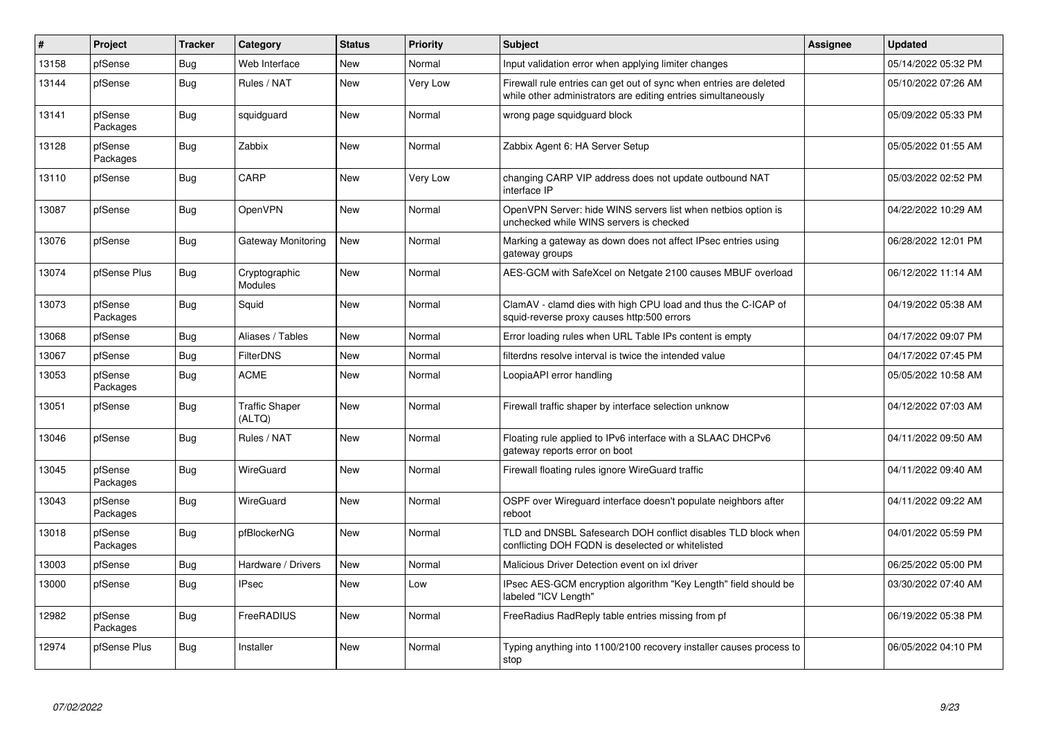| $\vert$ # | Project             | <b>Tracker</b> | Category                        | <b>Status</b> | <b>Priority</b> | <b>Subject</b>                                                                                                                      | <b>Assignee</b> | <b>Updated</b>      |
|-----------|---------------------|----------------|---------------------------------|---------------|-----------------|-------------------------------------------------------------------------------------------------------------------------------------|-----------------|---------------------|
| 13158     | pfSense             | Bug            | Web Interface                   | New           | Normal          | Input validation error when applying limiter changes                                                                                |                 | 05/14/2022 05:32 PM |
| 13144     | pfSense             | Bug            | Rules / NAT                     | New           | Very Low        | Firewall rule entries can get out of sync when entries are deleted<br>while other administrators are editing entries simultaneously |                 | 05/10/2022 07:26 AM |
| 13141     | pfSense<br>Packages | Bug            | squidguard                      | New           | Normal          | wrong page squidguard block                                                                                                         |                 | 05/09/2022 05:33 PM |
| 13128     | pfSense<br>Packages | Bug            | Zabbix                          | New           | Normal          | Zabbix Agent 6: HA Server Setup                                                                                                     |                 | 05/05/2022 01:55 AM |
| 13110     | pfSense             | Bug            | CARP                            | New           | Very Low        | changing CARP VIP address does not update outbound NAT<br>interface IP                                                              |                 | 05/03/2022 02:52 PM |
| 13087     | pfSense             | Bug            | <b>OpenVPN</b>                  | New           | Normal          | OpenVPN Server: hide WINS servers list when netbios option is<br>unchecked while WINS servers is checked                            |                 | 04/22/2022 10:29 AM |
| 13076     | pfSense             | <b>Bug</b>     | Gateway Monitoring              | New           | Normal          | Marking a gateway as down does not affect IPsec entries using<br>gateway groups                                                     |                 | 06/28/2022 12:01 PM |
| 13074     | pfSense Plus        | <b>Bug</b>     | Cryptographic<br><b>Modules</b> | New           | Normal          | AES-GCM with SafeXcel on Netgate 2100 causes MBUF overload                                                                          |                 | 06/12/2022 11:14 AM |
| 13073     | pfSense<br>Packages | <b>Bug</b>     | Squid                           | New           | Normal          | ClamAV - clamd dies with high CPU load and thus the C-ICAP of<br>squid-reverse proxy causes http:500 errors                         |                 | 04/19/2022 05:38 AM |
| 13068     | pfSense             | Bug            | Aliases / Tables                | New           | Normal          | Error loading rules when URL Table IPs content is empty                                                                             |                 | 04/17/2022 09:07 PM |
| 13067     | pfSense             | <b>Bug</b>     | FilterDNS                       | New           | Normal          | filterdns resolve interval is twice the intended value                                                                              |                 | 04/17/2022 07:45 PM |
| 13053     | pfSense<br>Packages | <b>Bug</b>     | ACME                            | New           | Normal          | LoopiaAPI error handling                                                                                                            |                 | 05/05/2022 10:58 AM |
| 13051     | pfSense             | <b>Bug</b>     | <b>Traffic Shaper</b><br>(ALTQ) | New           | Normal          | Firewall traffic shaper by interface selection unknow                                                                               |                 | 04/12/2022 07:03 AM |
| 13046     | pfSense             | Bug            | Rules / NAT                     | New           | Normal          | Floating rule applied to IPv6 interface with a SLAAC DHCPv6<br>gateway reports error on boot                                        |                 | 04/11/2022 09:50 AM |
| 13045     | pfSense<br>Packages | <b>Bug</b>     | WireGuard                       | New           | Normal          | Firewall floating rules ignore WireGuard traffic                                                                                    |                 | 04/11/2022 09:40 AM |
| 13043     | pfSense<br>Packages | <b>Bug</b>     | WireGuard                       | New           | Normal          | OSPF over Wireguard interface doesn't populate neighbors after<br>reboot                                                            |                 | 04/11/2022 09:22 AM |
| 13018     | pfSense<br>Packages | <b>Bug</b>     | pfBlockerNG                     | New           | Normal          | TLD and DNSBL Safesearch DOH conflict disables TLD block when<br>conflicting DOH FQDN is deselected or whitelisted                  |                 | 04/01/2022 05:59 PM |
| 13003     | pfSense             | <b>Bug</b>     | Hardware / Drivers              | New           | Normal          | Malicious Driver Detection event on ixl driver                                                                                      |                 | 06/25/2022 05:00 PM |
| 13000     | pfSense             | <b>Bug</b>     | <b>IPsec</b>                    | New           | Low             | IPsec AES-GCM encryption algorithm "Key Length" field should be<br>labeled "ICV Length"                                             |                 | 03/30/2022 07:40 AM |
| 12982     | pfSense<br>Packages | <b>Bug</b>     | FreeRADIUS                      | New           | Normal          | FreeRadius RadReply table entries missing from pf                                                                                   |                 | 06/19/2022 05:38 PM |
| 12974     | pfSense Plus        | Bug            | Installer                       | New           | Normal          | Typing anything into 1100/2100 recovery installer causes process to<br>stop                                                         |                 | 06/05/2022 04:10 PM |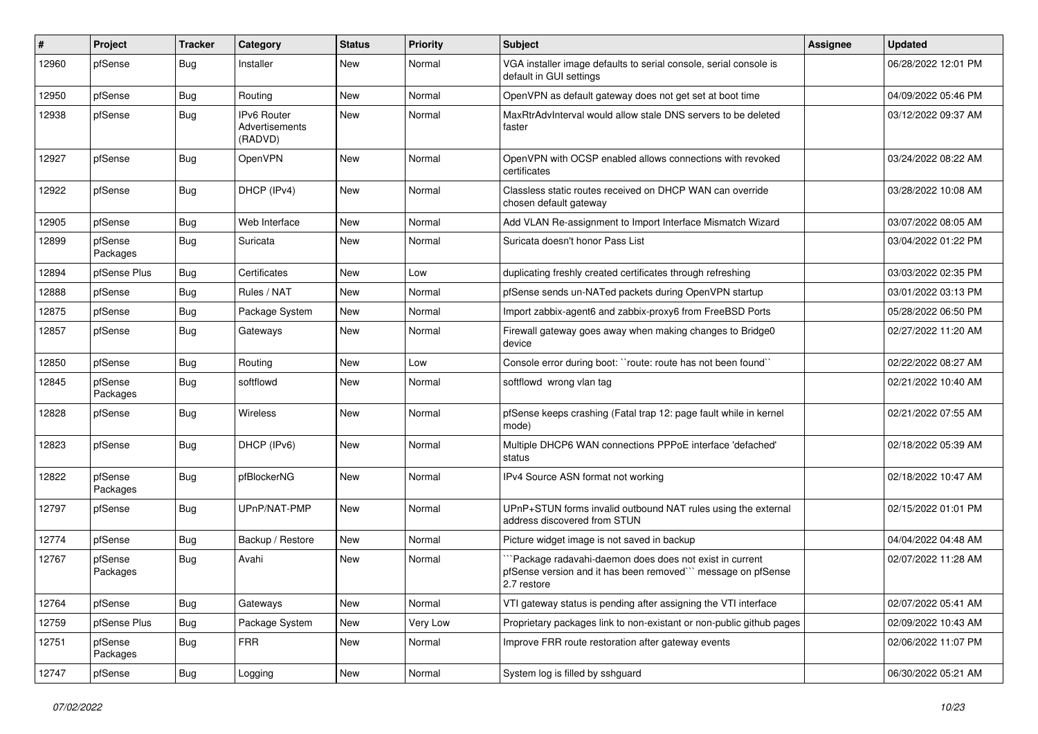| #     | Project             | <b>Tracker</b> | Category                                 | <b>Status</b> | <b>Priority</b> | <b>Subject</b>                                                                                                                        | <b>Assignee</b> | <b>Updated</b>      |
|-------|---------------------|----------------|------------------------------------------|---------------|-----------------|---------------------------------------------------------------------------------------------------------------------------------------|-----------------|---------------------|
| 12960 | pfSense             | <b>Bug</b>     | Installer                                | New           | Normal          | VGA installer image defaults to serial console, serial console is<br>default in GUI settings                                          |                 | 06/28/2022 12:01 PM |
| 12950 | pfSense             | Bug            | Routing                                  | New           | Normal          | OpenVPN as default gateway does not get set at boot time                                                                              |                 | 04/09/2022 05:46 PM |
| 12938 | pfSense             | <b>Bug</b>     | IPv6 Router<br>Advertisements<br>(RADVD) | New           | Normal          | MaxRtrAdvInterval would allow stale DNS servers to be deleted<br>faster                                                               |                 | 03/12/2022 09:37 AM |
| 12927 | pfSense             | <b>Bug</b>     | OpenVPN                                  | New           | Normal          | OpenVPN with OCSP enabled allows connections with revoked<br>certificates                                                             |                 | 03/24/2022 08:22 AM |
| 12922 | pfSense             | <b>Bug</b>     | DHCP (IPv4)                              | <b>New</b>    | Normal          | Classless static routes received on DHCP WAN can override<br>chosen default gateway                                                   |                 | 03/28/2022 10:08 AM |
| 12905 | pfSense             | <b>Bug</b>     | Web Interface                            | New           | Normal          | Add VLAN Re-assignment to Import Interface Mismatch Wizard                                                                            |                 | 03/07/2022 08:05 AM |
| 12899 | pfSense<br>Packages | <b>Bug</b>     | Suricata                                 | New           | Normal          | Suricata doesn't honor Pass List                                                                                                      |                 | 03/04/2022 01:22 PM |
| 12894 | pfSense Plus        | <b>Bug</b>     | Certificates                             | New           | Low             | duplicating freshly created certificates through refreshing                                                                           |                 | 03/03/2022 02:35 PM |
| 12888 | pfSense             | <b>Bug</b>     | Rules / NAT                              | New           | Normal          | pfSense sends un-NATed packets during OpenVPN startup                                                                                 |                 | 03/01/2022 03:13 PM |
| 12875 | pfSense             | <b>Bug</b>     | Package System                           | <b>New</b>    | Normal          | Import zabbix-agent6 and zabbix-proxy6 from FreeBSD Ports                                                                             |                 | 05/28/2022 06:50 PM |
| 12857 | pfSense             | Bug            | Gateways                                 | New           | Normal          | Firewall gateway goes away when making changes to Bridge0<br>device                                                                   |                 | 02/27/2022 11:20 AM |
| 12850 | pfSense             | <b>Bug</b>     | Routing                                  | <b>New</b>    | Low             | Console error during boot: "route: route has not been found"                                                                          |                 | 02/22/2022 08:27 AM |
| 12845 | pfSense<br>Packages | <b>Bug</b>     | softflowd                                | New           | Normal          | softflowd wrong vlan tag                                                                                                              |                 | 02/21/2022 10:40 AM |
| 12828 | pfSense             | <b>Bug</b>     | Wireless                                 | New           | Normal          | pfSense keeps crashing (Fatal trap 12: page fault while in kernel<br>mode)                                                            |                 | 02/21/2022 07:55 AM |
| 12823 | pfSense             | <b>Bug</b>     | DHCP (IPv6)                              | <b>New</b>    | Normal          | Multiple DHCP6 WAN connections PPPoE interface 'defached'<br>status                                                                   |                 | 02/18/2022 05:39 AM |
| 12822 | pfSense<br>Packages | <b>Bug</b>     | pfBlockerNG                              | New           | Normal          | IPv4 Source ASN format not working                                                                                                    |                 | 02/18/2022 10:47 AM |
| 12797 | pfSense             | <b>Bug</b>     | UPnP/NAT-PMP                             | <b>New</b>    | Normal          | UPnP+STUN forms invalid outbound NAT rules using the external<br>address discovered from STUN                                         |                 | 02/15/2022 01:01 PM |
| 12774 | pfSense             | <b>Bug</b>     | Backup / Restore                         | <b>New</b>    | Normal          | Picture widget image is not saved in backup                                                                                           |                 | 04/04/2022 04:48 AM |
| 12767 | pfSense<br>Packages | <b>Bug</b>     | Avahi                                    | New           | Normal          | Package radavahi-daemon does does not exist in current<br>pfSense version and it has been removed"" message on pfSense<br>2.7 restore |                 | 02/07/2022 11:28 AM |
| 12764 | pfSense             | <b>Bug</b>     | Gateways                                 | New           | Normal          | VTI gateway status is pending after assigning the VTI interface                                                                       |                 | 02/07/2022 05:41 AM |
| 12759 | pfSense Plus        | <b>Bug</b>     | Package System                           | New           | Very Low        | Proprietary packages link to non-existant or non-public github pages                                                                  |                 | 02/09/2022 10:43 AM |
| 12751 | pfSense<br>Packages | Bug            | <b>FRR</b>                               | New           | Normal          | Improve FRR route restoration after gateway events                                                                                    |                 | 02/06/2022 11:07 PM |
| 12747 | pfSense             | <b>Bug</b>     | Logging                                  | New           | Normal          | System log is filled by sshguard                                                                                                      |                 | 06/30/2022 05:21 AM |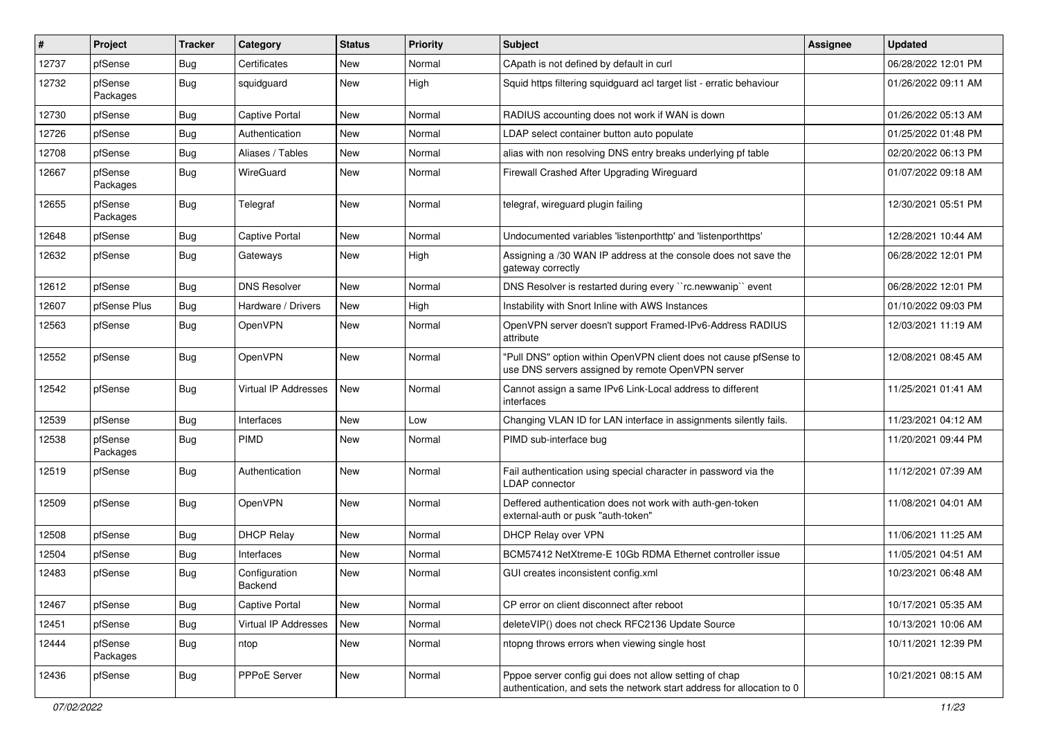| #     | Project             | <b>Tracker</b> | Category                    | <b>Status</b> | <b>Priority</b> | <b>Subject</b>                                                                                                                   | <b>Assignee</b> | <b>Updated</b>      |
|-------|---------------------|----------------|-----------------------------|---------------|-----------------|----------------------------------------------------------------------------------------------------------------------------------|-----------------|---------------------|
| 12737 | pfSense             | Bug            | Certificates                | New           | Normal          | CApath is not defined by default in curl                                                                                         |                 | 06/28/2022 12:01 PM |
| 12732 | pfSense<br>Packages | Bug            | squidguard                  | New           | High            | Squid https filtering squidguard acl target list - erratic behaviour                                                             |                 | 01/26/2022 09:11 AM |
| 12730 | pfSense             | Bug            | Captive Portal              | New           | Normal          | RADIUS accounting does not work if WAN is down                                                                                   |                 | 01/26/2022 05:13 AM |
| 12726 | pfSense             | <b>Bug</b>     | Authentication              | New           | Normal          | LDAP select container button auto populate                                                                                       |                 | 01/25/2022 01:48 PM |
| 12708 | pfSense             | <b>Bug</b>     | Aliases / Tables            | New           | Normal          | alias with non resolving DNS entry breaks underlying pf table                                                                    |                 | 02/20/2022 06:13 PM |
| 12667 | pfSense<br>Packages | Bug            | WireGuard                   | New           | Normal          | Firewall Crashed After Upgrading Wireguard                                                                                       |                 | 01/07/2022 09:18 AM |
| 12655 | pfSense<br>Packages | Bug            | Telegraf                    | New           | Normal          | telegraf, wireguard plugin failing                                                                                               |                 | 12/30/2021 05:51 PM |
| 12648 | pfSense             | <b>Bug</b>     | <b>Captive Portal</b>       | New           | Normal          | Undocumented variables 'listenporthttp' and 'listenporthttps'                                                                    |                 | 12/28/2021 10:44 AM |
| 12632 | pfSense             | Bug            | Gateways                    | New           | High            | Assigning a /30 WAN IP address at the console does not save the<br>gateway correctly                                             |                 | 06/28/2022 12:01 PM |
| 12612 | pfSense             | Bug            | <b>DNS Resolver</b>         | New           | Normal          | DNS Resolver is restarted during every "rc.newwanip" event                                                                       |                 | 06/28/2022 12:01 PM |
| 12607 | pfSense Plus        | <b>Bug</b>     | Hardware / Drivers          | New           | High            | Instability with Snort Inline with AWS Instances                                                                                 |                 | 01/10/2022 09:03 PM |
| 12563 | pfSense             | <b>Bug</b>     | OpenVPN                     | New           | Normal          | OpenVPN server doesn't support Framed-IPv6-Address RADIUS<br>attribute                                                           |                 | 12/03/2021 11:19 AM |
| 12552 | pfSense             | Bug            | OpenVPN                     | New           | Normal          | "Pull DNS" option within OpenVPN client does not cause pfSense to<br>use DNS servers assigned by remote OpenVPN server           |                 | 12/08/2021 08:45 AM |
| 12542 | pfSense             | Bug            | <b>Virtual IP Addresses</b> | New           | Normal          | Cannot assign a same IPv6 Link-Local address to different<br>interfaces                                                          |                 | 11/25/2021 01:41 AM |
| 12539 | pfSense             | <b>Bug</b>     | Interfaces                  | New           | Low             | Changing VLAN ID for LAN interface in assignments silently fails.                                                                |                 | 11/23/2021 04:12 AM |
| 12538 | pfSense<br>Packages | Bug            | <b>PIMD</b>                 | New           | Normal          | PIMD sub-interface bug                                                                                                           |                 | 11/20/2021 09:44 PM |
| 12519 | pfSense             | Bug            | Authentication              | New           | Normal          | Fail authentication using special character in password via the<br>LDAP connector                                                |                 | 11/12/2021 07:39 AM |
| 12509 | pfSense             | <b>Bug</b>     | OpenVPN                     | New           | Normal          | Deffered authentication does not work with auth-gen-token<br>external-auth or pusk "auth-token"                                  |                 | 11/08/2021 04:01 AM |
| 12508 | pfSense             | <b>Bug</b>     | <b>DHCP Relay</b>           | New           | Normal          | DHCP Relay over VPN                                                                                                              |                 | 11/06/2021 11:25 AM |
| 12504 | pfSense             | <b>Bug</b>     | Interfaces                  | New           | Normal          | BCM57412 NetXtreme-E 10Gb RDMA Ethernet controller issue                                                                         |                 | 11/05/2021 04:51 AM |
| 12483 | pfSense             | <b>Bug</b>     | Configuration<br>Backend    | New           | Normal          | GUI creates inconsistent config.xml                                                                                              |                 | 10/23/2021 06:48 AM |
| 12467 | pfSense             | Bug            | Captive Portal              | New           | Normal          | CP error on client disconnect after reboot                                                                                       |                 | 10/17/2021 05:35 AM |
| 12451 | pfSense             | <b>Bug</b>     | Virtual IP Addresses        | New           | Normal          | deleteVIP() does not check RFC2136 Update Source                                                                                 |                 | 10/13/2021 10:06 AM |
| 12444 | pfSense<br>Packages | <b>Bug</b>     | ntop                        | New           | Normal          | ntopng throws errors when viewing single host                                                                                    |                 | 10/11/2021 12:39 PM |
| 12436 | pfSense             | <b>Bug</b>     | PPPoE Server                | New           | Normal          | Pppoe server config gui does not allow setting of chap<br>authentication, and sets the network start address for allocation to 0 |                 | 10/21/2021 08:15 AM |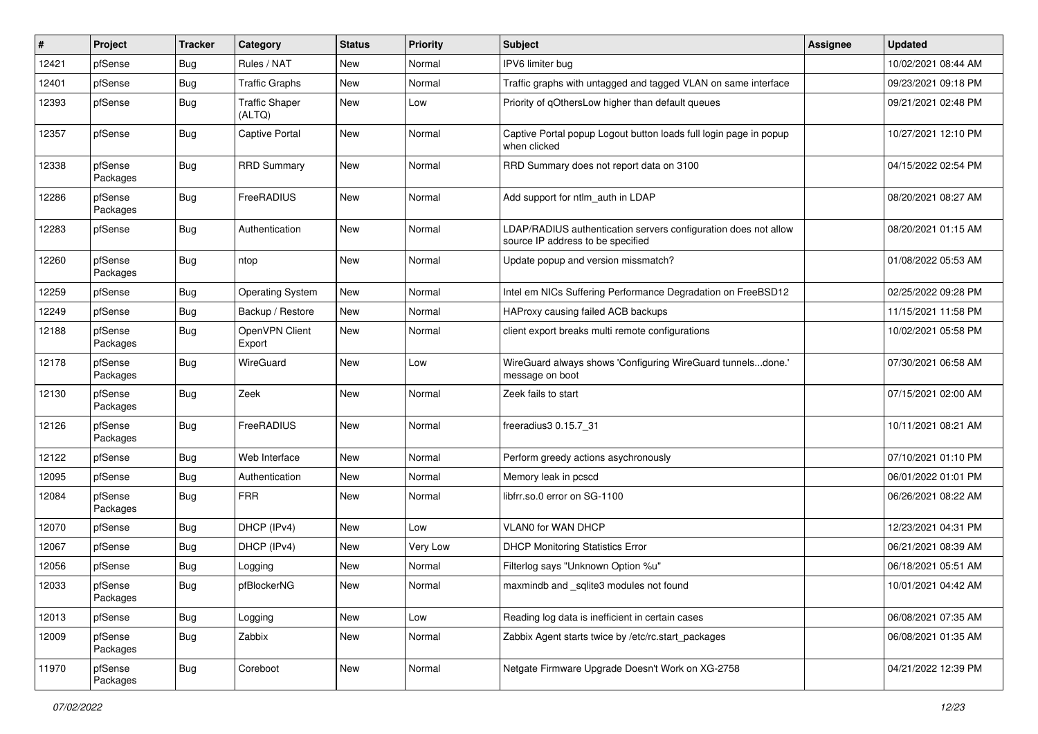| ∦     | Project             | <b>Tracker</b> | Category                        | <b>Status</b> | <b>Priority</b> | Subject                                                                                              | <b>Assignee</b> | <b>Updated</b>      |
|-------|---------------------|----------------|---------------------------------|---------------|-----------------|------------------------------------------------------------------------------------------------------|-----------------|---------------------|
| 12421 | pfSense             | <b>Bug</b>     | Rules / NAT                     | New           | Normal          | IPV6 limiter bug                                                                                     |                 | 10/02/2021 08:44 AM |
| 12401 | pfSense             | <b>Bug</b>     | <b>Traffic Graphs</b>           | New           | Normal          | Traffic graphs with untagged and tagged VLAN on same interface                                       |                 | 09/23/2021 09:18 PM |
| 12393 | pfSense             | <b>Bug</b>     | <b>Traffic Shaper</b><br>(ALTQ) | New           | Low             | Priority of qOthersLow higher than default queues                                                    |                 | 09/21/2021 02:48 PM |
| 12357 | pfSense             | <b>Bug</b>     | Captive Portal                  | <b>New</b>    | Normal          | Captive Portal popup Logout button loads full login page in popup<br>when clicked                    |                 | 10/27/2021 12:10 PM |
| 12338 | pfSense<br>Packages | <b>Bug</b>     | <b>RRD Summary</b>              | New           | Normal          | RRD Summary does not report data on 3100                                                             |                 | 04/15/2022 02:54 PM |
| 12286 | pfSense<br>Packages | <b>Bug</b>     | FreeRADIUS                      | New           | Normal          | Add support for ntlm auth in LDAP                                                                    |                 | 08/20/2021 08:27 AM |
| 12283 | pfSense             | <b>Bug</b>     | Authentication                  | New           | Normal          | LDAP/RADIUS authentication servers configuration does not allow<br>source IP address to be specified |                 | 08/20/2021 01:15 AM |
| 12260 | pfSense<br>Packages | <b>Bug</b>     | ntop                            | New           | Normal          | Update popup and version missmatch?                                                                  |                 | 01/08/2022 05:53 AM |
| 12259 | pfSense             | <b>Bug</b>     | <b>Operating System</b>         | New           | Normal          | Intel em NICs Suffering Performance Degradation on FreeBSD12                                         |                 | 02/25/2022 09:28 PM |
| 12249 | pfSense             | Bug            | Backup / Restore                | <b>New</b>    | Normal          | HAProxy causing failed ACB backups                                                                   |                 | 11/15/2021 11:58 PM |
| 12188 | pfSense<br>Packages | <b>Bug</b>     | OpenVPN Client<br>Export        | New           | Normal          | client export breaks multi remote configurations                                                     |                 | 10/02/2021 05:58 PM |
| 12178 | pfSense<br>Packages | <b>Bug</b>     | WireGuard                       | New           | Low             | WireGuard always shows 'Configuring WireGuard tunnelsdone.'<br>message on boot                       |                 | 07/30/2021 06:58 AM |
| 12130 | pfSense<br>Packages | <b>Bug</b>     | Zeek                            | New           | Normal          | Zeek fails to start                                                                                  |                 | 07/15/2021 02:00 AM |
| 12126 | pfSense<br>Packages | <b>Bug</b>     | FreeRADIUS                      | New           | Normal          | freeradius3 0.15.7 31                                                                                |                 | 10/11/2021 08:21 AM |
| 12122 | pfSense             | Bug            | Web Interface                   | New           | Normal          | Perform greedy actions asychronously                                                                 |                 | 07/10/2021 01:10 PM |
| 12095 | pfSense             | <b>Bug</b>     | Authentication                  | New           | Normal          | Memory leak in pcscd                                                                                 |                 | 06/01/2022 01:01 PM |
| 12084 | pfSense<br>Packages | <b>Bug</b>     | <b>FRR</b>                      | New           | Normal          | libfrr.so.0 error on SG-1100                                                                         |                 | 06/26/2021 08:22 AM |
| 12070 | pfSense             | <b>Bug</b>     | DHCP (IPv4)                     | New           | Low             | VLAN0 for WAN DHCP                                                                                   |                 | 12/23/2021 04:31 PM |
| 12067 | pfSense             | <b>Bug</b>     | DHCP (IPv4)                     | New           | Very Low        | <b>DHCP Monitoring Statistics Error</b>                                                              |                 | 06/21/2021 08:39 AM |
| 12056 | pfSense             | <b>Bug</b>     | Logging                         | New           | Normal          | Filterlog says "Unknown Option %u"                                                                   |                 | 06/18/2021 05:51 AM |
| 12033 | pfSense<br>Packages | <b>Bug</b>     | pfBlockerNG                     | New           | Normal          | maxmindb and _sqlite3 modules not found                                                              |                 | 10/01/2021 04:42 AM |
| 12013 | pfSense             | <b>Bug</b>     | Logging                         | New           | Low             | Reading log data is inefficient in certain cases                                                     |                 | 06/08/2021 07:35 AM |
| 12009 | pfSense<br>Packages | Bug            | Zabbix                          | New           | Normal          | Zabbix Agent starts twice by /etc/rc.start_packages                                                  |                 | 06/08/2021 01:35 AM |
| 11970 | pfSense<br>Packages | <b>Bug</b>     | Coreboot                        | New           | Normal          | Netgate Firmware Upgrade Doesn't Work on XG-2758                                                     |                 | 04/21/2022 12:39 PM |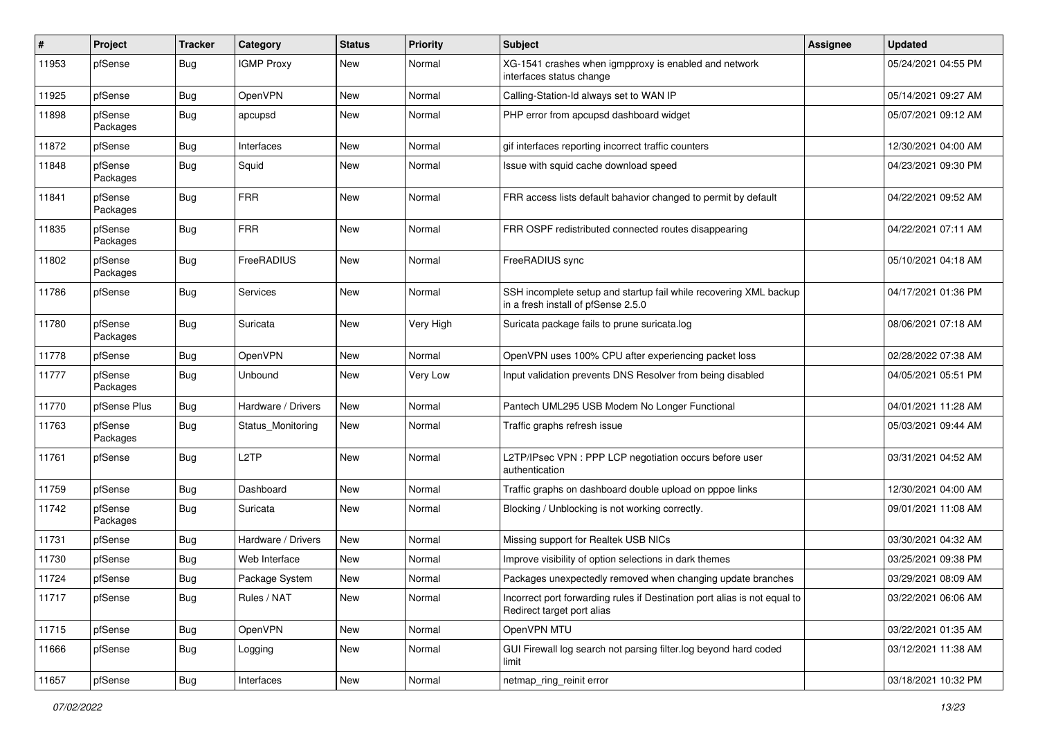| #     | Project             | <b>Tracker</b> | Category           | <b>Status</b> | <b>Priority</b> | <b>Subject</b>                                                                                           | <b>Assignee</b> | <b>Updated</b>      |
|-------|---------------------|----------------|--------------------|---------------|-----------------|----------------------------------------------------------------------------------------------------------|-----------------|---------------------|
| 11953 | pfSense             | Bug            | <b>IGMP Proxy</b>  | New           | Normal          | XG-1541 crashes when igmpproxy is enabled and network<br>interfaces status change                        |                 | 05/24/2021 04:55 PM |
| 11925 | pfSense             | Bug            | OpenVPN            | New           | Normal          | Calling-Station-Id always set to WAN IP                                                                  |                 | 05/14/2021 09:27 AM |
| 11898 | pfSense<br>Packages | Bug            | apcupsd            | New           | Normal          | PHP error from apcupsd dashboard widget                                                                  |                 | 05/07/2021 09:12 AM |
| 11872 | pfSense             | Bug            | Interfaces         | New           | Normal          | gif interfaces reporting incorrect traffic counters                                                      |                 | 12/30/2021 04:00 AM |
| 11848 | pfSense<br>Packages | Bug            | Squid              | New           | Normal          | Issue with squid cache download speed                                                                    |                 | 04/23/2021 09:30 PM |
| 11841 | pfSense<br>Packages | <b>Bug</b>     | <b>FRR</b>         | New           | Normal          | FRR access lists default bahavior changed to permit by default                                           |                 | 04/22/2021 09:52 AM |
| 11835 | pfSense<br>Packages | <b>Bug</b>     | <b>FRR</b>         | New           | Normal          | FRR OSPF redistributed connected routes disappearing                                                     |                 | 04/22/2021 07:11 AM |
| 11802 | pfSense<br>Packages | <b>Bug</b>     | FreeRADIUS         | New           | Normal          | FreeRADIUS sync                                                                                          |                 | 05/10/2021 04:18 AM |
| 11786 | pfSense             | Bug            | Services           | New           | Normal          | SSH incomplete setup and startup fail while recovering XML backup<br>in a fresh install of pfSense 2.5.0 |                 | 04/17/2021 01:36 PM |
| 11780 | pfSense<br>Packages | Bug            | Suricata           | New           | Very High       | Suricata package fails to prune suricata.log                                                             |                 | 08/06/2021 07:18 AM |
| 11778 | pfSense             | <b>Bug</b>     | OpenVPN            | New           | Normal          | OpenVPN uses 100% CPU after experiencing packet loss                                                     |                 | 02/28/2022 07:38 AM |
| 11777 | pfSense<br>Packages | <b>Bug</b>     | Unbound            | New           | Very Low        | Input validation prevents DNS Resolver from being disabled                                               |                 | 04/05/2021 05:51 PM |
| 11770 | pfSense Plus        | <b>Bug</b>     | Hardware / Drivers | New           | Normal          | Pantech UML295 USB Modem No Longer Functional                                                            |                 | 04/01/2021 11:28 AM |
| 11763 | pfSense<br>Packages | Bug            | Status_Monitoring  | New           | Normal          | Traffic graphs refresh issue                                                                             |                 | 05/03/2021 09:44 AM |
| 11761 | pfSense             | <b>Bug</b>     | L <sub>2</sub> TP  | New           | Normal          | L2TP/IPsec VPN : PPP LCP negotiation occurs before user<br>authentication                                |                 | 03/31/2021 04:52 AM |
| 11759 | pfSense             | <b>Bug</b>     | Dashboard          | New           | Normal          | Traffic graphs on dashboard double upload on pppoe links                                                 |                 | 12/30/2021 04:00 AM |
| 11742 | pfSense<br>Packages | <b>Bug</b>     | Suricata           | New           | Normal          | Blocking / Unblocking is not working correctly.                                                          |                 | 09/01/2021 11:08 AM |
| 11731 | pfSense             | <b>Bug</b>     | Hardware / Drivers | New           | Normal          | Missing support for Realtek USB NICs                                                                     |                 | 03/30/2021 04:32 AM |
| 11730 | pfSense             | <b>Bug</b>     | Web Interface      | New           | Normal          | Improve visibility of option selections in dark themes                                                   |                 | 03/25/2021 09:38 PM |
| 11724 | pfSense             | <b>Bug</b>     | Package System     | New           | Normal          | Packages unexpectedly removed when changing update branches                                              |                 | 03/29/2021 08:09 AM |
| 11717 | pfSense             | <b>Bug</b>     | Rules / NAT        | New           | Normal          | Incorrect port forwarding rules if Destination port alias is not equal to<br>Redirect target port alias  |                 | 03/22/2021 06:06 AM |
| 11715 | pfSense             | <b>Bug</b>     | <b>OpenVPN</b>     | New           | Normal          | OpenVPN MTU                                                                                              |                 | 03/22/2021 01:35 AM |
| 11666 | pfSense             | <b>Bug</b>     | Logging            | New           | Normal          | GUI Firewall log search not parsing filter.log beyond hard coded<br>limit                                |                 | 03/12/2021 11:38 AM |
| 11657 | pfSense             | Bug            | Interfaces         | New           | Normal          | netmap_ring_reinit error                                                                                 |                 | 03/18/2021 10:32 PM |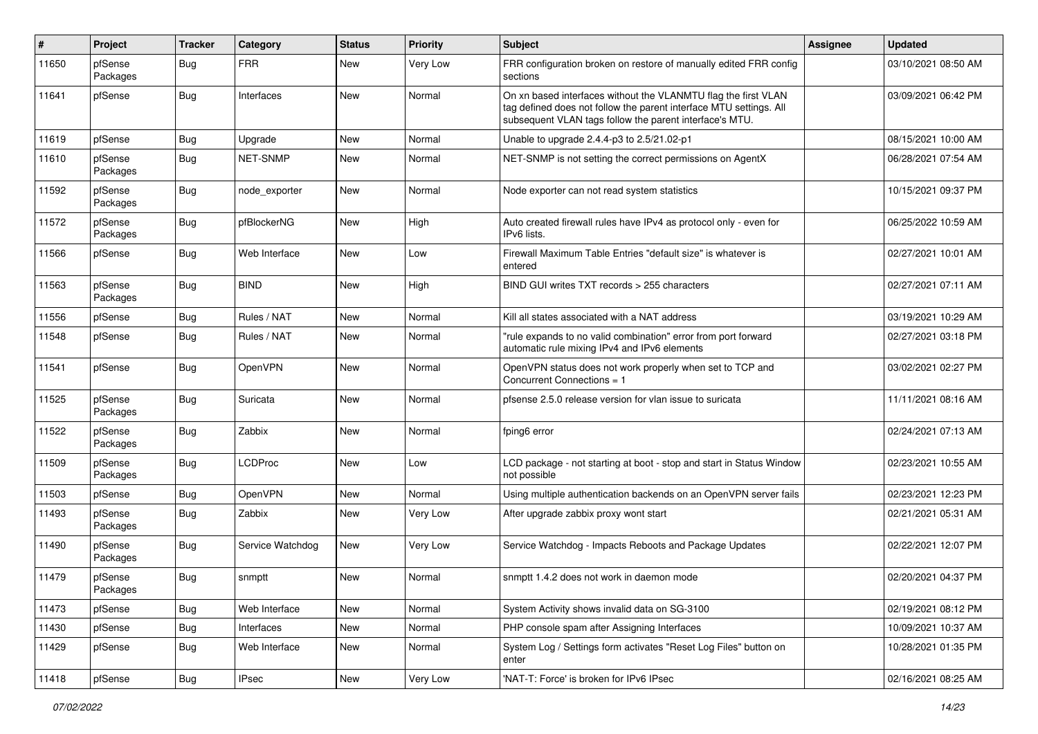| #     | Project             | <b>Tracker</b> | Category         | <b>Status</b> | <b>Priority</b> | Subject                                                                                                                                                                                         | <b>Assignee</b> | <b>Updated</b>      |
|-------|---------------------|----------------|------------------|---------------|-----------------|-------------------------------------------------------------------------------------------------------------------------------------------------------------------------------------------------|-----------------|---------------------|
| 11650 | pfSense<br>Packages | Bug            | <b>FRR</b>       | New           | Very Low        | FRR configuration broken on restore of manually edited FRR config<br>sections                                                                                                                   |                 | 03/10/2021 08:50 AM |
| 11641 | pfSense             | <b>Bug</b>     | Interfaces       | New           | Normal          | On xn based interfaces without the VLANMTU flag the first VLAN<br>tag defined does not follow the parent interface MTU settings. All<br>subsequent VLAN tags follow the parent interface's MTU. |                 | 03/09/2021 06:42 PM |
| 11619 | pfSense             | Bug            | Upgrade          | New           | Normal          | Unable to upgrade 2.4.4-p3 to 2.5/21.02-p1                                                                                                                                                      |                 | 08/15/2021 10:00 AM |
| 11610 | pfSense<br>Packages | Bug            | <b>NET-SNMP</b>  | New           | Normal          | NET-SNMP is not setting the correct permissions on AgentX                                                                                                                                       |                 | 06/28/2021 07:54 AM |
| 11592 | pfSense<br>Packages | <b>Bug</b>     | node_exporter    | New           | Normal          | Node exporter can not read system statistics                                                                                                                                                    |                 | 10/15/2021 09:37 PM |
| 11572 | pfSense<br>Packages | <b>Bug</b>     | pfBlockerNG      | New           | High            | Auto created firewall rules have IPv4 as protocol only - even for<br>IPv6 lists.                                                                                                                |                 | 06/25/2022 10:59 AM |
| 11566 | pfSense             | <b>Bug</b>     | Web Interface    | New           | Low             | Firewall Maximum Table Entries "default size" is whatever is<br>entered                                                                                                                         |                 | 02/27/2021 10:01 AM |
| 11563 | pfSense<br>Packages | Bug            | <b>BIND</b>      | New           | High            | BIND GUI writes TXT records > 255 characters                                                                                                                                                    |                 | 02/27/2021 07:11 AM |
| 11556 | pfSense             | <b>Bug</b>     | Rules / NAT      | New           | Normal          | Kill all states associated with a NAT address                                                                                                                                                   |                 | 03/19/2021 10:29 AM |
| 11548 | pfSense             | Bug            | Rules / NAT      | New           | Normal          | "rule expands to no valid combination" error from port forward<br>automatic rule mixing IPv4 and IPv6 elements                                                                                  |                 | 02/27/2021 03:18 PM |
| 11541 | pfSense             | <b>Bug</b>     | OpenVPN          | New           | Normal          | OpenVPN status does not work properly when set to TCP and<br>Concurrent Connections = 1                                                                                                         |                 | 03/02/2021 02:27 PM |
| 11525 | pfSense<br>Packages | <b>Bug</b>     | Suricata         | New           | Normal          | pfsense 2.5.0 release version for vlan issue to suricata                                                                                                                                        |                 | 11/11/2021 08:16 AM |
| 11522 | pfSense<br>Packages | <b>Bug</b>     | Zabbix           | New           | Normal          | fping6 error                                                                                                                                                                                    |                 | 02/24/2021 07:13 AM |
| 11509 | pfSense<br>Packages | <b>Bug</b>     | LCDProc          | New           | Low             | LCD package - not starting at boot - stop and start in Status Window<br>not possible                                                                                                            |                 | 02/23/2021 10:55 AM |
| 11503 | pfSense             | <b>Bug</b>     | <b>OpenVPN</b>   | New           | Normal          | Using multiple authentication backends on an OpenVPN server fails                                                                                                                               |                 | 02/23/2021 12:23 PM |
| 11493 | pfSense<br>Packages | Bug            | Zabbix           | New           | Very Low        | After upgrade zabbix proxy wont start                                                                                                                                                           |                 | 02/21/2021 05:31 AM |
| 11490 | pfSense<br>Packages | <b>Bug</b>     | Service Watchdog | New           | Very Low        | Service Watchdog - Impacts Reboots and Package Updates                                                                                                                                          |                 | 02/22/2021 12:07 PM |
| 11479 | pfSense<br>Packages | <b>Bug</b>     | snmptt           | New           | Normal          | snmptt 1.4.2 does not work in daemon mode                                                                                                                                                       |                 | 02/20/2021 04:37 PM |
| 11473 | pfSense             | <b>Bug</b>     | Web Interface    | New           | Normal          | System Activity shows invalid data on SG-3100                                                                                                                                                   |                 | 02/19/2021 08:12 PM |
| 11430 | pfSense             | <b>Bug</b>     | Interfaces       | New           | Normal          | PHP console spam after Assigning Interfaces                                                                                                                                                     |                 | 10/09/2021 10:37 AM |
| 11429 | pfSense             | <b>Bug</b>     | Web Interface    | New           | Normal          | System Log / Settings form activates "Reset Log Files" button on<br>enter                                                                                                                       |                 | 10/28/2021 01:35 PM |
| 11418 | pfSense             | <b>Bug</b>     | <b>IPsec</b>     | New           | Very Low        | 'NAT-T: Force' is broken for IPv6 IPsec                                                                                                                                                         |                 | 02/16/2021 08:25 AM |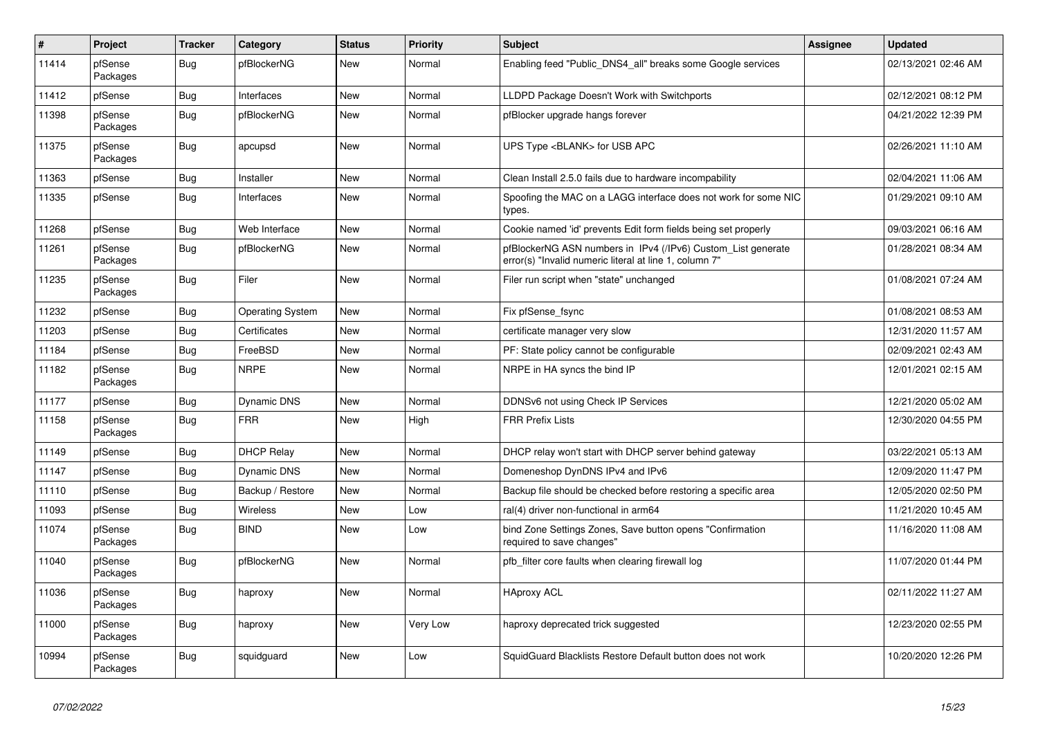| $\sharp$ | Project             | <b>Tracker</b> | Category                | <b>Status</b> | <b>Priority</b> | <b>Subject</b>                                                                                                         | <b>Assignee</b> | <b>Updated</b>      |
|----------|---------------------|----------------|-------------------------|---------------|-----------------|------------------------------------------------------------------------------------------------------------------------|-----------------|---------------------|
| 11414    | pfSense<br>Packages | <b>Bug</b>     | pfBlockerNG             | New           | Normal          | Enabling feed "Public DNS4 all" breaks some Google services                                                            |                 | 02/13/2021 02:46 AM |
| 11412    | pfSense             | <b>Bug</b>     | Interfaces              | New           | Normal          | LLDPD Package Doesn't Work with Switchports                                                                            |                 | 02/12/2021 08:12 PM |
| 11398    | pfSense<br>Packages | <b>Bug</b>     | pfBlockerNG             | New           | Normal          | pfBlocker upgrade hangs forever                                                                                        |                 | 04/21/2022 12:39 PM |
| 11375    | pfSense<br>Packages | <b>Bug</b>     | apcupsd                 | <b>New</b>    | Normal          | UPS Type <blank> for USB APC</blank>                                                                                   |                 | 02/26/2021 11:10 AM |
| 11363    | pfSense             | <b>Bug</b>     | Installer               | New           | Normal          | Clean Install 2.5.0 fails due to hardware incompability                                                                |                 | 02/04/2021 11:06 AM |
| 11335    | pfSense             | <b>Bug</b>     | Interfaces              | New           | Normal          | Spoofing the MAC on a LAGG interface does not work for some NIC<br>types.                                              |                 | 01/29/2021 09:10 AM |
| 11268    | pfSense             | <b>Bug</b>     | Web Interface           | New           | Normal          | Cookie named 'id' prevents Edit form fields being set properly                                                         |                 | 09/03/2021 06:16 AM |
| 11261    | pfSense<br>Packages | <b>Bug</b>     | pfBlockerNG             | New           | Normal          | pfBlockerNG ASN numbers in IPv4 (/IPv6) Custom List generate<br>error(s) "Invalid numeric literal at line 1, column 7" |                 | 01/28/2021 08:34 AM |
| 11235    | pfSense<br>Packages | Bug            | Filer                   | New           | Normal          | Filer run script when "state" unchanged                                                                                |                 | 01/08/2021 07:24 AM |
| 11232    | pfSense             | Bug            | <b>Operating System</b> | <b>New</b>    | Normal          | Fix pfSense_fsync                                                                                                      |                 | 01/08/2021 08:53 AM |
| 11203    | pfSense             | <b>Bug</b>     | Certificates            | <b>New</b>    | Normal          | certificate manager very slow                                                                                          |                 | 12/31/2020 11:57 AM |
| 11184    | pfSense             | <b>Bug</b>     | FreeBSD                 | <b>New</b>    | Normal          | PF: State policy cannot be configurable                                                                                |                 | 02/09/2021 02:43 AM |
| 11182    | pfSense<br>Packages | Bug            | <b>NRPE</b>             | New           | Normal          | NRPE in HA syncs the bind IP                                                                                           |                 | 12/01/2021 02:15 AM |
| 11177    | pfSense             | <b>Bug</b>     | <b>Dynamic DNS</b>      | New           | Normal          | DDNSv6 not using Check IP Services                                                                                     |                 | 12/21/2020 05:02 AM |
| 11158    | pfSense<br>Packages | Bug            | <b>FRR</b>              | New           | High            | <b>FRR Prefix Lists</b>                                                                                                |                 | 12/30/2020 04:55 PM |
| 11149    | pfSense             | Bug            | <b>DHCP Relay</b>       | <b>New</b>    | Normal          | DHCP relay won't start with DHCP server behind gateway                                                                 |                 | 03/22/2021 05:13 AM |
| 11147    | pfSense             | <b>Bug</b>     | <b>Dynamic DNS</b>      | New           | Normal          | Domeneshop DynDNS IPv4 and IPv6                                                                                        |                 | 12/09/2020 11:47 PM |
| 11110    | pfSense             | Bug            | Backup / Restore        | New           | Normal          | Backup file should be checked before restoring a specific area                                                         |                 | 12/05/2020 02:50 PM |
| 11093    | pfSense             | <b>Bug</b>     | Wireless                | New           | Low             | ral(4) driver non-functional in arm64                                                                                  |                 | 11/21/2020 10:45 AM |
| 11074    | pfSense<br>Packages | <b>Bug</b>     | <b>BIND</b>             | New           | Low             | bind Zone Settings Zones, Save button opens "Confirmation<br>required to save changes"                                 |                 | 11/16/2020 11:08 AM |
| 11040    | pfSense<br>Packages | <b>Bug</b>     | pfBlockerNG             | <b>New</b>    | Normal          | pfb filter core faults when clearing firewall log                                                                      |                 | 11/07/2020 01:44 PM |
| 11036    | pfSense<br>Packages | <b>Bug</b>     | haproxy                 | New           | Normal          | <b>HAproxy ACL</b>                                                                                                     |                 | 02/11/2022 11:27 AM |
| 11000    | pfSense<br>Packages | <b>Bug</b>     | haproxy                 | New           | Very Low        | haproxy deprecated trick suggested                                                                                     |                 | 12/23/2020 02:55 PM |
| 10994    | pfSense<br>Packages | <b>Bug</b>     | squidguard              | <b>New</b>    | Low             | SquidGuard Blacklists Restore Default button does not work                                                             |                 | 10/20/2020 12:26 PM |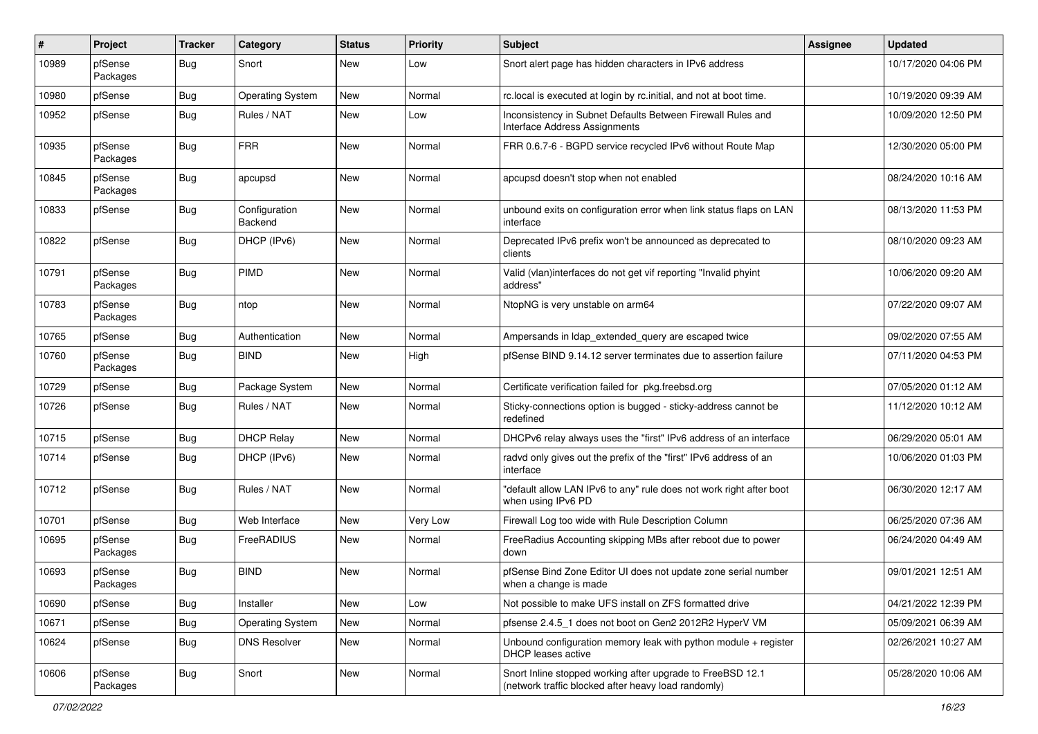| #     | Project             | <b>Tracker</b> | Category                 | <b>Status</b> | <b>Priority</b> | Subject                                                                                                           | <b>Assignee</b> | <b>Updated</b>      |
|-------|---------------------|----------------|--------------------------|---------------|-----------------|-------------------------------------------------------------------------------------------------------------------|-----------------|---------------------|
| 10989 | pfSense<br>Packages | Bug            | Snort                    | New           | Low             | Snort alert page has hidden characters in IPv6 address                                                            |                 | 10/17/2020 04:06 PM |
| 10980 | pfSense             | <b>Bug</b>     | <b>Operating System</b>  | New           | Normal          | rc.local is executed at login by rc.initial, and not at boot time.                                                |                 | 10/19/2020 09:39 AM |
| 10952 | pfSense             | Bug            | Rules / NAT              | New           | Low             | Inconsistency in Subnet Defaults Between Firewall Rules and<br>Interface Address Assignments                      |                 | 10/09/2020 12:50 PM |
| 10935 | pfSense<br>Packages | <b>Bug</b>     | <b>FRR</b>               | New           | Normal          | FRR 0.6.7-6 - BGPD service recycled IPv6 without Route Map                                                        |                 | 12/30/2020 05:00 PM |
| 10845 | pfSense<br>Packages | <b>Bug</b>     | apcupsd                  | New           | Normal          | apcupsd doesn't stop when not enabled                                                                             |                 | 08/24/2020 10:16 AM |
| 10833 | pfSense             | Bug            | Configuration<br>Backend | New           | Normal          | unbound exits on configuration error when link status flaps on LAN<br>interface                                   |                 | 08/13/2020 11:53 PM |
| 10822 | pfSense             | Bug            | DHCP (IPv6)              | New           | Normal          | Deprecated IPv6 prefix won't be announced as deprecated to<br>clients                                             |                 | 08/10/2020 09:23 AM |
| 10791 | pfSense<br>Packages | <b>Bug</b>     | PIMD                     | New           | Normal          | Valid (vlan)interfaces do not get vif reporting "Invalid phyint<br>address"                                       |                 | 10/06/2020 09:20 AM |
| 10783 | pfSense<br>Packages | <b>Bug</b>     | ntop                     | New           | Normal          | NtopNG is very unstable on arm64                                                                                  |                 | 07/22/2020 09:07 AM |
| 10765 | pfSense             | <b>Bug</b>     | Authentication           | New           | Normal          | Ampersands in Idap extended query are escaped twice                                                               |                 | 09/02/2020 07:55 AM |
| 10760 | pfSense<br>Packages | <b>Bug</b>     | <b>BIND</b>              | New           | High            | pfSense BIND 9.14.12 server terminates due to assertion failure                                                   |                 | 07/11/2020 04:53 PM |
| 10729 | pfSense             | <b>Bug</b>     | Package System           | New           | Normal          | Certificate verification failed for pkg.freebsd.org                                                               |                 | 07/05/2020 01:12 AM |
| 10726 | pfSense             | <b>Bug</b>     | Rules / NAT              | New           | Normal          | Sticky-connections option is bugged - sticky-address cannot be<br>redefined                                       |                 | 11/12/2020 10:12 AM |
| 10715 | pfSense             | <b>Bug</b>     | <b>DHCP Relay</b>        | New           | Normal          | DHCPv6 relay always uses the "first" IPv6 address of an interface                                                 |                 | 06/29/2020 05:01 AM |
| 10714 | pfSense             | Bug            | DHCP (IPv6)              | New           | Normal          | radvd only gives out the prefix of the "first" IPv6 address of an<br>interface                                    |                 | 10/06/2020 01:03 PM |
| 10712 | pfSense             | <b>Bug</b>     | Rules / NAT              | New           | Normal          | "default allow LAN IPv6 to any" rule does not work right after boot<br>when using IPv6 PD                         |                 | 06/30/2020 12:17 AM |
| 10701 | pfSense             | <b>Bug</b>     | Web Interface            | New           | Very Low        | Firewall Log too wide with Rule Description Column                                                                |                 | 06/25/2020 07:36 AM |
| 10695 | pfSense<br>Packages | <b>Bug</b>     | FreeRADIUS               | New           | Normal          | FreeRadius Accounting skipping MBs after reboot due to power<br>down                                              |                 | 06/24/2020 04:49 AM |
| 10693 | pfSense<br>Packages | <b>Bug</b>     | <b>BIND</b>              | <b>New</b>    | Normal          | pfSense Bind Zone Editor UI does not update zone serial number<br>when a change is made                           |                 | 09/01/2021 12:51 AM |
| 10690 | pfSense             | <b>Bug</b>     | Installer                | New           | Low             | Not possible to make UFS install on ZFS formatted drive                                                           |                 | 04/21/2022 12:39 PM |
| 10671 | pfSense             | <b>Bug</b>     | <b>Operating System</b>  | New           | Normal          | pfsense 2.4.5 1 does not boot on Gen2 2012R2 HyperV VM                                                            |                 | 05/09/2021 06:39 AM |
| 10624 | pfSense             | <b>Bug</b>     | <b>DNS Resolver</b>      | New           | Normal          | Unbound configuration memory leak with python module + register<br>DHCP leases active                             |                 | 02/26/2021 10:27 AM |
| 10606 | pfSense<br>Packages | <b>Bug</b>     | Snort                    | New           | Normal          | Snort Inline stopped working after upgrade to FreeBSD 12.1<br>(network traffic blocked after heavy load randomly) |                 | 05/28/2020 10:06 AM |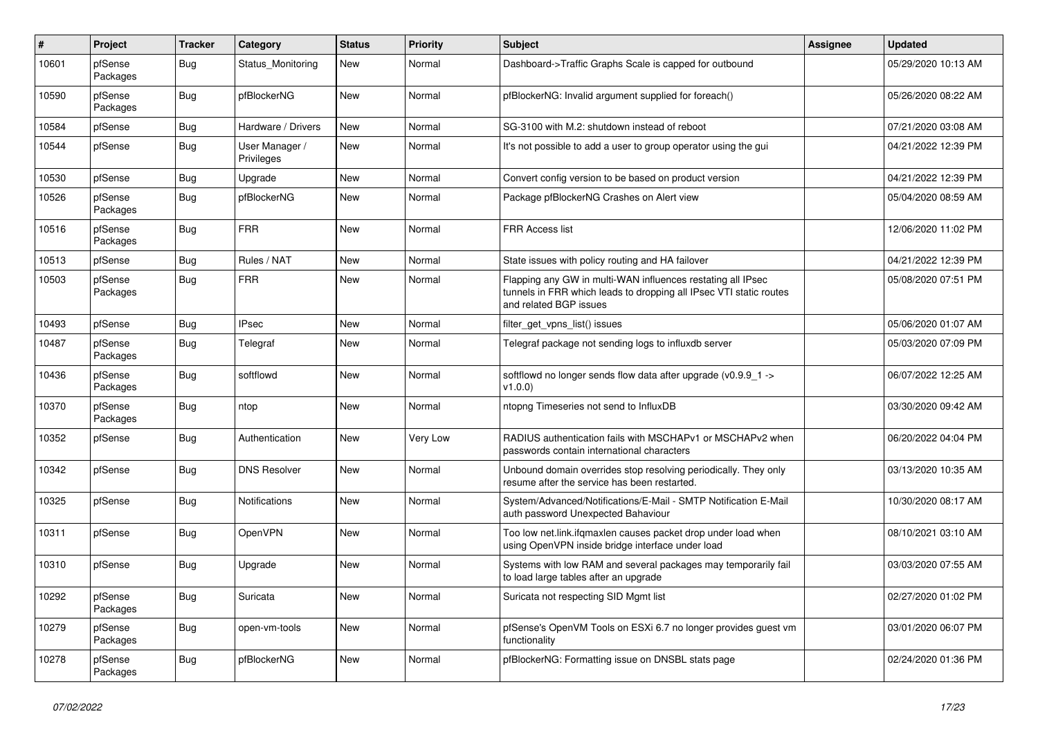| $\pmb{\#}$ | Project             | <b>Tracker</b> | Category                     | <b>Status</b> | <b>Priority</b> | <b>Subject</b>                                                                                                                                              | <b>Assignee</b> | <b>Updated</b>      |
|------------|---------------------|----------------|------------------------------|---------------|-----------------|-------------------------------------------------------------------------------------------------------------------------------------------------------------|-----------------|---------------------|
| 10601      | pfSense<br>Packages | <b>Bug</b>     | Status Monitoring            | New           | Normal          | Dashboard->Traffic Graphs Scale is capped for outbound                                                                                                      |                 | 05/29/2020 10:13 AM |
| 10590      | pfSense<br>Packages | <b>Bug</b>     | pfBlockerNG                  | <b>New</b>    | Normal          | pfBlockerNG: Invalid argument supplied for foreach()                                                                                                        |                 | 05/26/2020 08:22 AM |
| 10584      | pfSense             | <b>Bug</b>     | Hardware / Drivers           | <b>New</b>    | Normal          | SG-3100 with M.2: shutdown instead of reboot                                                                                                                |                 | 07/21/2020 03:08 AM |
| 10544      | pfSense             | <b>Bug</b>     | User Manager /<br>Privileges | New           | Normal          | It's not possible to add a user to group operator using the gui                                                                                             |                 | 04/21/2022 12:39 PM |
| 10530      | pfSense             | Bug            | Upgrade                      | New           | Normal          | Convert config version to be based on product version                                                                                                       |                 | 04/21/2022 12:39 PM |
| 10526      | pfSense<br>Packages | <b>Bug</b>     | pfBlockerNG                  | New           | Normal          | Package pfBlockerNG Crashes on Alert view                                                                                                                   |                 | 05/04/2020 08:59 AM |
| 10516      | pfSense<br>Packages | <b>Bug</b>     | <b>FRR</b>                   | New           | Normal          | <b>FRR Access list</b>                                                                                                                                      |                 | 12/06/2020 11:02 PM |
| 10513      | pfSense             | <b>Bug</b>     | Rules / NAT                  | New           | Normal          | State issues with policy routing and HA failover                                                                                                            |                 | 04/21/2022 12:39 PM |
| 10503      | pfSense<br>Packages | <b>Bug</b>     | <b>FRR</b>                   | New           | Normal          | Flapping any GW in multi-WAN influences restating all IPsec<br>tunnels in FRR which leads to dropping all IPsec VTI static routes<br>and related BGP issues |                 | 05/08/2020 07:51 PM |
| 10493      | pfSense             | Bug            | <b>IPsec</b>                 | New           | Normal          | filter get vpns list() issues                                                                                                                               |                 | 05/06/2020 01:07 AM |
| 10487      | pfSense<br>Packages | <b>Bug</b>     | Telegraf                     | New           | Normal          | Telegraf package not sending logs to influxdb server                                                                                                        |                 | 05/03/2020 07:09 PM |
| 10436      | pfSense<br>Packages | <b>Bug</b>     | softflowd                    | New           | Normal          | softflowd no longer sends flow data after upgrade (v0.9.9_1 -><br>v1.0.0                                                                                    |                 | 06/07/2022 12:25 AM |
| 10370      | pfSense<br>Packages | Bug            | ntop                         | New           | Normal          | ntopng Timeseries not send to InfluxDB                                                                                                                      |                 | 03/30/2020 09:42 AM |
| 10352      | pfSense             | <b>Bug</b>     | Authentication               | New           | Very Low        | RADIUS authentication fails with MSCHAPv1 or MSCHAPv2 when<br>passwords contain international characters                                                    |                 | 06/20/2022 04:04 PM |
| 10342      | pfSense             | <b>Bug</b>     | <b>DNS Resolver</b>          | New           | Normal          | Unbound domain overrides stop resolving periodically. They only<br>resume after the service has been restarted.                                             |                 | 03/13/2020 10:35 AM |
| 10325      | pfSense             | <b>Bug</b>     | Notifications                | New           | Normal          | System/Advanced/Notifications/E-Mail - SMTP Notification E-Mail<br>auth password Unexpected Bahaviour                                                       |                 | 10/30/2020 08:17 AM |
| 10311      | pfSense             | <b>Bug</b>     | OpenVPN                      | New           | Normal          | Too low net.link.ifqmaxlen causes packet drop under load when<br>using OpenVPN inside bridge interface under load                                           |                 | 08/10/2021 03:10 AM |
| 10310      | pfSense             | <b>Bug</b>     | Upgrade                      | <b>New</b>    | Normal          | Systems with low RAM and several packages may temporarily fail<br>to load large tables after an upgrade                                                     |                 | 03/03/2020 07:55 AM |
| 10292      | pfSense<br>Packages | Bug            | Suricata                     | New           | Normal          | Suricata not respecting SID Mgmt list                                                                                                                       |                 | 02/27/2020 01:02 PM |
| 10279      | pfSense<br>Packages | Bug            | open-vm-tools                | New           | Normal          | pfSense's OpenVM Tools on ESXi 6.7 no longer provides guest vm<br>functionality                                                                             |                 | 03/01/2020 06:07 PM |
| 10278      | pfSense<br>Packages | <b>Bug</b>     | pfBlockerNG                  | New           | Normal          | pfBlockerNG: Formatting issue on DNSBL stats page                                                                                                           |                 | 02/24/2020 01:36 PM |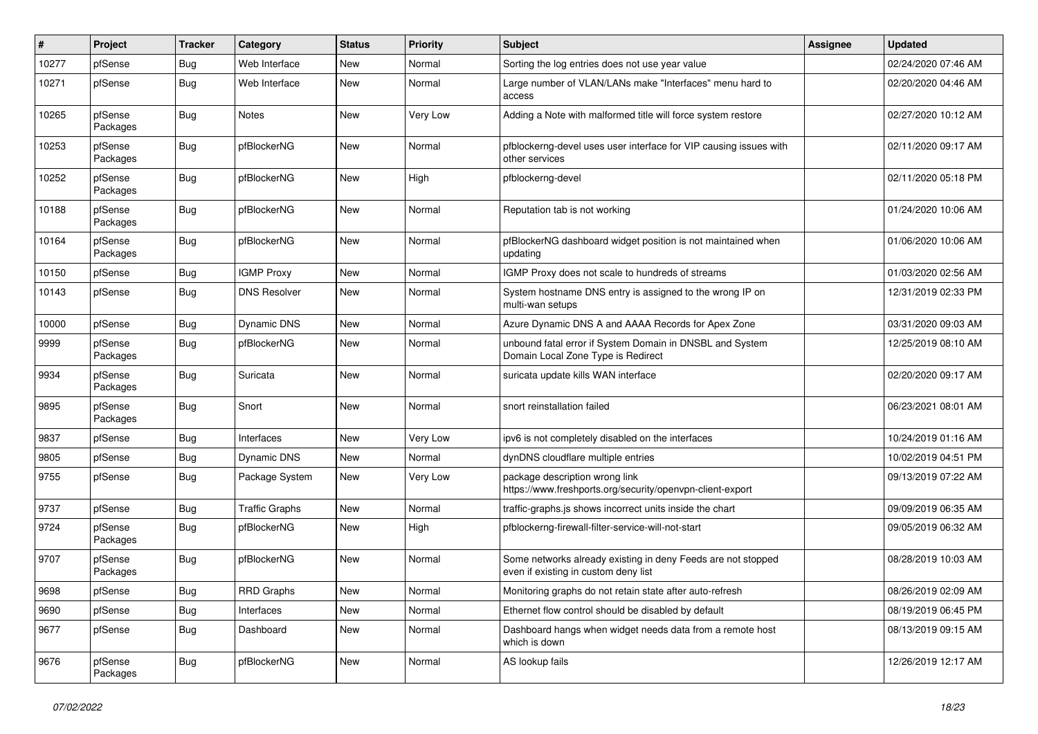| #     | Project             | <b>Tracker</b> | Category              | <b>Status</b> | <b>Priority</b> | <b>Subject</b>                                                                                       | <b>Assignee</b> | <b>Updated</b>      |
|-------|---------------------|----------------|-----------------------|---------------|-----------------|------------------------------------------------------------------------------------------------------|-----------------|---------------------|
| 10277 | pfSense             | <b>Bug</b>     | Web Interface         | New           | Normal          | Sorting the log entries does not use year value                                                      |                 | 02/24/2020 07:46 AM |
| 10271 | pfSense             | <b>Bug</b>     | Web Interface         | New           | Normal          | Large number of VLAN/LANs make "Interfaces" menu hard to<br>access                                   |                 | 02/20/2020 04:46 AM |
| 10265 | pfSense<br>Packages | <b>Bug</b>     | Notes                 | New           | Very Low        | Adding a Note with malformed title will force system restore                                         |                 | 02/27/2020 10:12 AM |
| 10253 | pfSense<br>Packages | <b>Bug</b>     | pfBlockerNG           | New           | Normal          | pfblockerng-devel uses user interface for VIP causing issues with<br>other services                  |                 | 02/11/2020 09:17 AM |
| 10252 | pfSense<br>Packages | Bug            | pfBlockerNG           | New           | High            | pfblockerng-devel                                                                                    |                 | 02/11/2020 05:18 PM |
| 10188 | pfSense<br>Packages | <b>Bug</b>     | pfBlockerNG           | New           | Normal          | Reputation tab is not working                                                                        |                 | 01/24/2020 10:06 AM |
| 10164 | pfSense<br>Packages | <b>Bug</b>     | pfBlockerNG           | New           | Normal          | pfBlockerNG dashboard widget position is not maintained when<br>updating                             |                 | 01/06/2020 10:06 AM |
| 10150 | pfSense             | <b>Bug</b>     | <b>IGMP Proxy</b>     | New           | Normal          | IGMP Proxy does not scale to hundreds of streams                                                     |                 | 01/03/2020 02:56 AM |
| 10143 | pfSense             | <b>Bug</b>     | <b>DNS Resolver</b>   | New           | Normal          | System hostname DNS entry is assigned to the wrong IP on<br>multi-wan setups                         |                 | 12/31/2019 02:33 PM |
| 10000 | pfSense             | Bug            | Dynamic DNS           | New           | Normal          | Azure Dynamic DNS A and AAAA Records for Apex Zone                                                   |                 | 03/31/2020 09:03 AM |
| 9999  | pfSense<br>Packages | <b>Bug</b>     | pfBlockerNG           | New           | Normal          | unbound fatal error if System Domain in DNSBL and System<br>Domain Local Zone Type is Redirect       |                 | 12/25/2019 08:10 AM |
| 9934  | pfSense<br>Packages | <b>Bug</b>     | Suricata              | New           | Normal          | suricata update kills WAN interface                                                                  |                 | 02/20/2020 09:17 AM |
| 9895  | pfSense<br>Packages | <b>Bug</b>     | Snort                 | New           | Normal          | snort reinstallation failed                                                                          |                 | 06/23/2021 08:01 AM |
| 9837  | pfSense             | <b>Bug</b>     | Interfaces            | New           | Very Low        | ipv6 is not completely disabled on the interfaces                                                    |                 | 10/24/2019 01:16 AM |
| 9805  | pfSense             | <b>Bug</b>     | <b>Dynamic DNS</b>    | New           | Normal          | dynDNS cloudflare multiple entries                                                                   |                 | 10/02/2019 04:51 PM |
| 9755  | pfSense             | Bug            | Package System        | New           | Very Low        | package description wrong link<br>https://www.freshports.org/security/openvpn-client-export          |                 | 09/13/2019 07:22 AM |
| 9737  | pfSense             | <b>Bug</b>     | <b>Traffic Graphs</b> | New           | Normal          | traffic-graphs.js shows incorrect units inside the chart                                             |                 | 09/09/2019 06:35 AM |
| 9724  | pfSense<br>Packages | <b>Bug</b>     | pfBlockerNG           | New           | High            | pfblockerng-firewall-filter-service-will-not-start                                                   |                 | 09/05/2019 06:32 AM |
| 9707  | pfSense<br>Packages | <b>Bug</b>     | pfBlockerNG           | New           | Normal          | Some networks already existing in deny Feeds are not stopped<br>even if existing in custom deny list |                 | 08/28/2019 10:03 AM |
| 9698  | pfSense             | Bug            | <b>RRD Graphs</b>     | New           | Normal          | Monitoring graphs do not retain state after auto-refresh                                             |                 | 08/26/2019 02:09 AM |
| 9690  | pfSense             | Bug            | Interfaces            | New           | Normal          | Ethernet flow control should be disabled by default                                                  |                 | 08/19/2019 06:45 PM |
| 9677  | pfSense             | Bug            | Dashboard             | New           | Normal          | Dashboard hangs when widget needs data from a remote host<br>which is down                           |                 | 08/13/2019 09:15 AM |
| 9676  | pfSense<br>Packages | <b>Bug</b>     | pfBlockerNG           | New           | Normal          | AS lookup fails                                                                                      |                 | 12/26/2019 12:17 AM |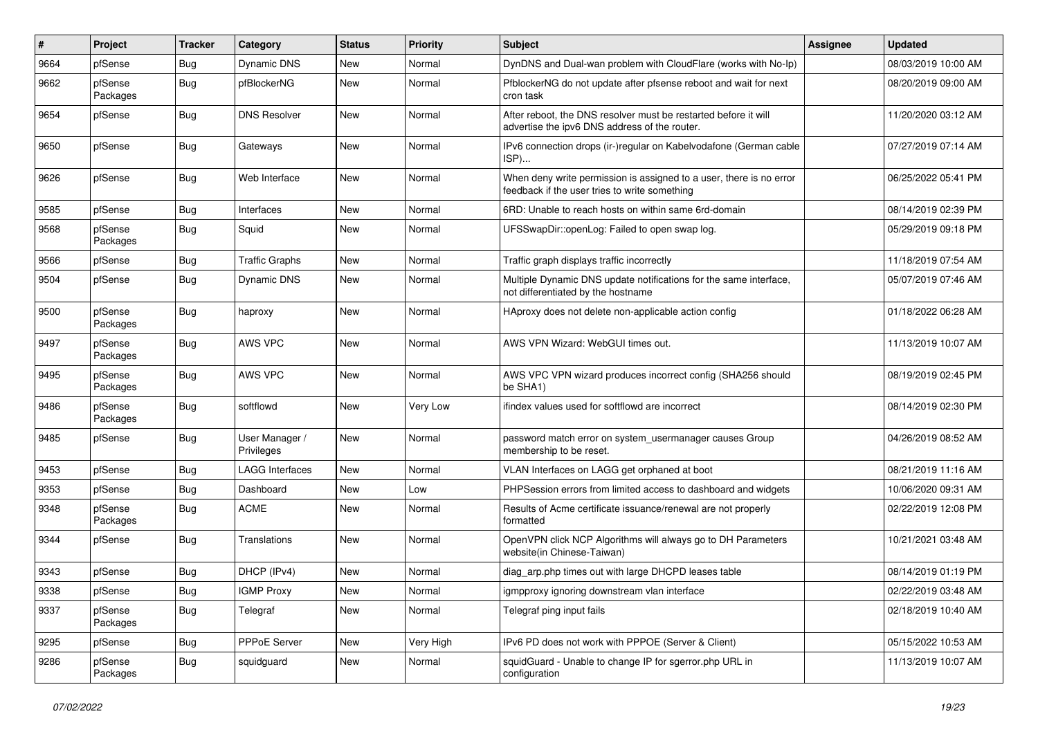| #    | Project             | <b>Tracker</b> | Category                     | <b>Status</b> | <b>Priority</b> | <b>Subject</b>                                                                                                       | <b>Assignee</b> | <b>Updated</b>      |
|------|---------------------|----------------|------------------------------|---------------|-----------------|----------------------------------------------------------------------------------------------------------------------|-----------------|---------------------|
| 9664 | pfSense             | <b>Bug</b>     | Dynamic DNS                  | New           | Normal          | DynDNS and Dual-wan problem with CloudFlare (works with No-Ip)                                                       |                 | 08/03/2019 10:00 AM |
| 9662 | pfSense<br>Packages | <b>Bug</b>     | pfBlockerNG                  | New           | Normal          | PfblockerNG do not update after pfsense reboot and wait for next<br>cron task                                        |                 | 08/20/2019 09:00 AM |
| 9654 | pfSense             | <b>Bug</b>     | <b>DNS Resolver</b>          | New           | Normal          | After reboot, the DNS resolver must be restarted before it will<br>advertise the ipv6 DNS address of the router.     |                 | 11/20/2020 03:12 AM |
| 9650 | pfSense             | <b>Bug</b>     | Gateways                     | New           | Normal          | IPv6 connection drops (ir-)regular on Kabelvodafone (German cable<br>$ISP)$                                          |                 | 07/27/2019 07:14 AM |
| 9626 | pfSense             | <b>Bug</b>     | Web Interface                | New           | Normal          | When deny write permission is assigned to a user, there is no error<br>feedback if the user tries to write something |                 | 06/25/2022 05:41 PM |
| 9585 | pfSense             | <b>Bug</b>     | Interfaces                   | New           | Normal          | 6RD: Unable to reach hosts on within same 6rd-domain                                                                 |                 | 08/14/2019 02:39 PM |
| 9568 | pfSense<br>Packages | <b>Bug</b>     | Squid                        | New           | Normal          | UFSSwapDir::openLog: Failed to open swap log.                                                                        |                 | 05/29/2019 09:18 PM |
| 9566 | pfSense             | <b>Bug</b>     | <b>Traffic Graphs</b>        | New           | Normal          | Traffic graph displays traffic incorrectly                                                                           |                 | 11/18/2019 07:54 AM |
| 9504 | pfSense             | <b>Bug</b>     | Dynamic DNS                  | New           | Normal          | Multiple Dynamic DNS update notifications for the same interface,<br>not differentiated by the hostname              |                 | 05/07/2019 07:46 AM |
| 9500 | pfSense<br>Packages | <b>Bug</b>     | haproxy                      | New           | Normal          | HAproxy does not delete non-applicable action config                                                                 |                 | 01/18/2022 06:28 AM |
| 9497 | pfSense<br>Packages | <b>Bug</b>     | AWS VPC                      | New           | Normal          | AWS VPN Wizard: WebGUI times out.                                                                                    |                 | 11/13/2019 10:07 AM |
| 9495 | pfSense<br>Packages | <b>Bug</b>     | AWS VPC                      | New           | Normal          | AWS VPC VPN wizard produces incorrect config (SHA256 should<br>be SHA1)                                              |                 | 08/19/2019 02:45 PM |
| 9486 | pfSense<br>Packages | <b>Bug</b>     | softflowd                    | New           | Very Low        | ifindex values used for softflowd are incorrect                                                                      |                 | 08/14/2019 02:30 PM |
| 9485 | pfSense             | <b>Bug</b>     | User Manager /<br>Privileges | New           | Normal          | password match error on system_usermanager causes Group<br>membership to be reset.                                   |                 | 04/26/2019 08:52 AM |
| 9453 | pfSense             | <b>Bug</b>     | <b>LAGG Interfaces</b>       | New           | Normal          | VLAN Interfaces on LAGG get orphaned at boot                                                                         |                 | 08/21/2019 11:16 AM |
| 9353 | pfSense             | <b>Bug</b>     | Dashboard                    | New           | Low             | PHPSession errors from limited access to dashboard and widgets                                                       |                 | 10/06/2020 09:31 AM |
| 9348 | pfSense<br>Packages | <b>Bug</b>     | <b>ACME</b>                  | New           | Normal          | Results of Acme certificate issuance/renewal are not properly<br>formatted                                           |                 | 02/22/2019 12:08 PM |
| 9344 | pfSense             | <b>Bug</b>     | Translations                 | New           | Normal          | OpenVPN click NCP Algorithms will always go to DH Parameters<br>website(in Chinese-Taiwan)                           |                 | 10/21/2021 03:48 AM |
| 9343 | pfSense             | <b>Bug</b>     | DHCP (IPv4)                  | <b>New</b>    | Normal          | diag_arp.php times out with large DHCPD leases table                                                                 |                 | 08/14/2019 01:19 PM |
| 9338 | pfSense             | <b>Bug</b>     | <b>IGMP Proxy</b>            | New           | Normal          | igmpproxy ignoring downstream vlan interface                                                                         |                 | 02/22/2019 03:48 AM |
| 9337 | pfSense<br>Packages | <b>Bug</b>     | Telegraf                     | New           | Normal          | Telegraf ping input fails                                                                                            |                 | 02/18/2019 10:40 AM |
| 9295 | pfSense             | <b>Bug</b>     | PPPoE Server                 | New           | Very High       | IPv6 PD does not work with PPPOE (Server & Client)                                                                   |                 | 05/15/2022 10:53 AM |
| 9286 | pfSense<br>Packages | <b>Bug</b>     | squidguard                   | New           | Normal          | squidGuard - Unable to change IP for sgerror.php URL in<br>configuration                                             |                 | 11/13/2019 10:07 AM |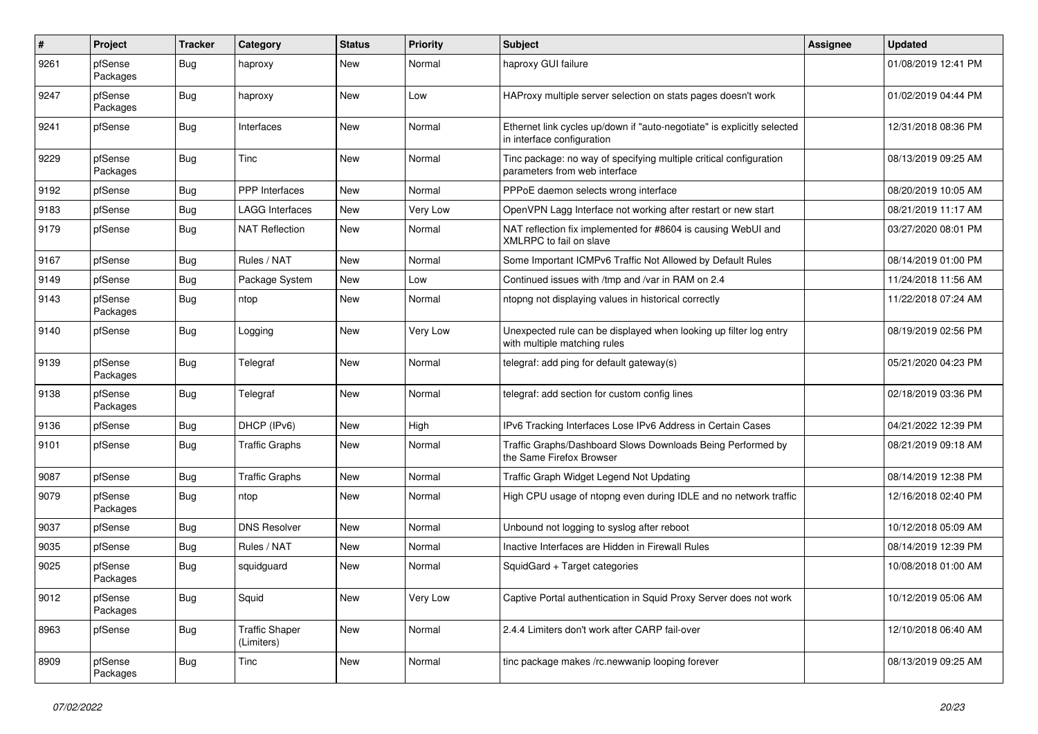| $\pmb{\#}$ | Project             | <b>Tracker</b> | Category                            | <b>Status</b> | <b>Priority</b> | <b>Subject</b>                                                                                        | <b>Assignee</b> | <b>Updated</b>      |
|------------|---------------------|----------------|-------------------------------------|---------------|-----------------|-------------------------------------------------------------------------------------------------------|-----------------|---------------------|
| 9261       | pfSense<br>Packages | Bug            | haproxy                             | New           | Normal          | haproxy GUI failure                                                                                   |                 | 01/08/2019 12:41 PM |
| 9247       | pfSense<br>Packages | <b>Bug</b>     | haproxy                             | New           | Low             | HAProxy multiple server selection on stats pages doesn't work                                         |                 | 01/02/2019 04:44 PM |
| 9241       | pfSense             | <b>Bug</b>     | Interfaces                          | New           | Normal          | Ethernet link cycles up/down if "auto-negotiate" is explicitly selected<br>in interface configuration |                 | 12/31/2018 08:36 PM |
| 9229       | pfSense<br>Packages | <b>Bug</b>     | Tinc                                | New           | Normal          | Tinc package: no way of specifying multiple critical configuration<br>parameters from web interface   |                 | 08/13/2019 09:25 AM |
| 9192       | pfSense             | Bug            | PPP Interfaces                      | New           | Normal          | PPPoE daemon selects wrong interface                                                                  |                 | 08/20/2019 10:05 AM |
| 9183       | pfSense             | <b>Bug</b>     | LAGG Interfaces                     | New           | Very Low        | OpenVPN Lagg Interface not working after restart or new start                                         |                 | 08/21/2019 11:17 AM |
| 9179       | pfSense             | <b>Bug</b>     | <b>NAT Reflection</b>               | New           | Normal          | NAT reflection fix implemented for #8604 is causing WebUI and<br>XMLRPC to fail on slave              |                 | 03/27/2020 08:01 PM |
| 9167       | pfSense             | <b>Bug</b>     | Rules / NAT                         | New           | Normal          | Some Important ICMPv6 Traffic Not Allowed by Default Rules                                            |                 | 08/14/2019 01:00 PM |
| 9149       | pfSense             | <b>Bug</b>     | Package System                      | New           | Low             | Continued issues with /tmp and /var in RAM on 2.4                                                     |                 | 11/24/2018 11:56 AM |
| 9143       | pfSense<br>Packages | <b>Bug</b>     | ntop                                | New           | Normal          | ntopng not displaying values in historical correctly                                                  |                 | 11/22/2018 07:24 AM |
| 9140       | pfSense             | <b>Bug</b>     | Logging                             | New           | Very Low        | Unexpected rule can be displayed when looking up filter log entry<br>with multiple matching rules     |                 | 08/19/2019 02:56 PM |
| 9139       | pfSense<br>Packages | <b>Bug</b>     | Telegraf                            | New           | Normal          | telegraf: add ping for default gateway(s)                                                             |                 | 05/21/2020 04:23 PM |
| 9138       | pfSense<br>Packages | <b>Bug</b>     | Telegraf                            | New           | Normal          | telegraf: add section for custom config lines                                                         |                 | 02/18/2019 03:36 PM |
| 9136       | pfSense             | Bug            | DHCP (IPv6)                         | New           | High            | IPv6 Tracking Interfaces Lose IPv6 Address in Certain Cases                                           |                 | 04/21/2022 12:39 PM |
| 9101       | pfSense             | <b>Bug</b>     | <b>Traffic Graphs</b>               | New           | Normal          | Traffic Graphs/Dashboard Slows Downloads Being Performed by<br>the Same Firefox Browser               |                 | 08/21/2019 09:18 AM |
| 9087       | pfSense             | <b>Bug</b>     | <b>Traffic Graphs</b>               | New           | Normal          | Traffic Graph Widget Legend Not Updating                                                              |                 | 08/14/2019 12:38 PM |
| 9079       | pfSense<br>Packages | Bug            | ntop                                | New           | Normal          | High CPU usage of ntopng even during IDLE and no network traffic                                      |                 | 12/16/2018 02:40 PM |
| 9037       | pfSense             | <b>Bug</b>     | <b>DNS Resolver</b>                 | <b>New</b>    | Normal          | Unbound not logging to syslog after reboot                                                            |                 | 10/12/2018 05:09 AM |
| 9035       | pfSense             | Bug            | Rules / NAT                         | New           | Normal          | Inactive Interfaces are Hidden in Firewall Rules                                                      |                 | 08/14/2019 12:39 PM |
| 9025       | pfSense<br>Packages | <b>Bug</b>     | squidguard                          | New           | Normal          | SquidGard + Target categories                                                                         |                 | 10/08/2018 01:00 AM |
| 9012       | pfSense<br>Packages | Bug            | Squid                               | New           | Very Low        | Captive Portal authentication in Squid Proxy Server does not work                                     |                 | 10/12/2019 05:06 AM |
| 8963       | pfSense             | <b>Bug</b>     | <b>Traffic Shaper</b><br>(Limiters) | New           | Normal          | 2.4.4 Limiters don't work after CARP fail-over                                                        |                 | 12/10/2018 06:40 AM |
| 8909       | pfSense<br>Packages | <b>Bug</b>     | Tinc                                | New           | Normal          | tinc package makes /rc.newwanip looping forever                                                       |                 | 08/13/2019 09:25 AM |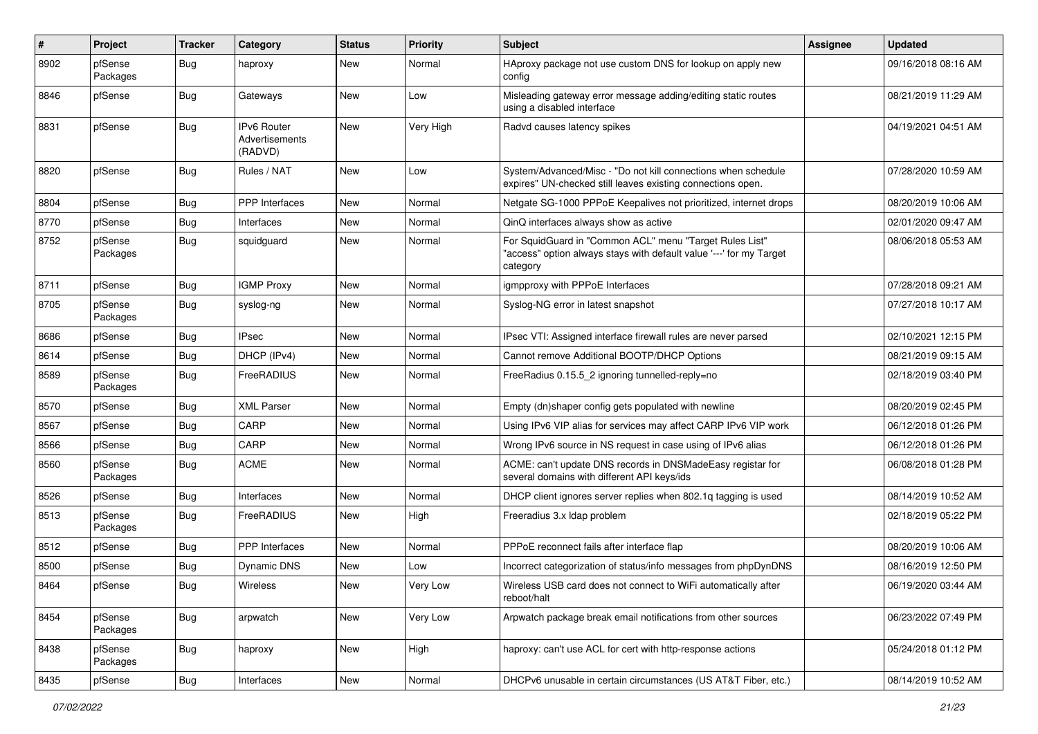| $\pmb{\#}$ | Project             | <b>Tracker</b> | Category                                        | <b>Status</b> | <b>Priority</b> | Subject                                                                                                                                    | <b>Assignee</b> | <b>Updated</b>      |
|------------|---------------------|----------------|-------------------------------------------------|---------------|-----------------|--------------------------------------------------------------------------------------------------------------------------------------------|-----------------|---------------------|
| 8902       | pfSense<br>Packages | Bug            | haproxy                                         | New           | Normal          | HAproxy package not use custom DNS for lookup on apply new<br>config                                                                       |                 | 09/16/2018 08:16 AM |
| 8846       | pfSense             | Bug            | Gateways                                        | New           | Low             | Misleading gateway error message adding/editing static routes<br>using a disabled interface                                                |                 | 08/21/2019 11:29 AM |
| 8831       | pfSense             | <b>Bug</b>     | IPv6 Router<br><b>Advertisements</b><br>(RADVD) | New           | Very High       | Radvd causes latency spikes                                                                                                                |                 | 04/19/2021 04:51 AM |
| 8820       | pfSense             | <b>Bug</b>     | Rules / NAT                                     | New           | Low             | System/Advanced/Misc - "Do not kill connections when schedule<br>expires" UN-checked still leaves existing connections open.               |                 | 07/28/2020 10:59 AM |
| 8804       | pfSense             | <b>Bug</b>     | PPP Interfaces                                  | New           | Normal          | Netgate SG-1000 PPPoE Keepalives not prioritized, internet drops                                                                           |                 | 08/20/2019 10:06 AM |
| 8770       | pfSense             | Bug            | Interfaces                                      | New           | Normal          | QinQ interfaces always show as active                                                                                                      |                 | 02/01/2020 09:47 AM |
| 8752       | pfSense<br>Packages | Bug            | squidguard                                      | New           | Normal          | For SquidGuard in "Common ACL" menu "Target Rules List"<br>"access" option always stays with default value '---' for my Target<br>category |                 | 08/06/2018 05:53 AM |
| 8711       | pfSense             | Bug            | <b>IGMP Proxy</b>                               | New           | Normal          | igmpproxy with PPPoE Interfaces                                                                                                            |                 | 07/28/2018 09:21 AM |
| 8705       | pfSense<br>Packages | <b>Bug</b>     | syslog-ng                                       | New           | Normal          | Syslog-NG error in latest snapshot                                                                                                         |                 | 07/27/2018 10:17 AM |
| 8686       | pfSense             | <b>Bug</b>     | <b>IPsec</b>                                    | New           | Normal          | IPsec VTI: Assigned interface firewall rules are never parsed                                                                              |                 | 02/10/2021 12:15 PM |
| 8614       | pfSense             | Bug            | DHCP (IPv4)                                     | New           | Normal          | Cannot remove Additional BOOTP/DHCP Options                                                                                                |                 | 08/21/2019 09:15 AM |
| 8589       | pfSense<br>Packages | Bug            | FreeRADIUS                                      | New           | Normal          | FreeRadius 0.15.5 2 ignoring tunnelled-reply=no                                                                                            |                 | 02/18/2019 03:40 PM |
| 8570       | pfSense             | Bug            | <b>XML Parser</b>                               | New           | Normal          | Empty (dn)shaper config gets populated with newline                                                                                        |                 | 08/20/2019 02:45 PM |
| 8567       | pfSense             | Bug            | CARP                                            | New           | Normal          | Using IPv6 VIP alias for services may affect CARP IPv6 VIP work                                                                            |                 | 06/12/2018 01:26 PM |
| 8566       | pfSense             | Bug            | CARP                                            | New           | Normal          | Wrong IPv6 source in NS request in case using of IPv6 alias                                                                                |                 | 06/12/2018 01:26 PM |
| 8560       | pfSense<br>Packages | Bug            | <b>ACME</b>                                     | New           | Normal          | ACME: can't update DNS records in DNSMadeEasy registar for<br>several domains with different API keys/ids                                  |                 | 06/08/2018 01:28 PM |
| 8526       | pfSense             | Bug            | Interfaces                                      | New           | Normal          | DHCP client ignores server replies when 802.1q tagging is used                                                                             |                 | 08/14/2019 10:52 AM |
| 8513       | pfSense<br>Packages | Bug            | FreeRADIUS                                      | New           | High            | Freeradius 3.x Idap problem                                                                                                                |                 | 02/18/2019 05:22 PM |
| 8512       | pfSense             | Bug            | PPP Interfaces                                  | New           | Normal          | PPPoE reconnect fails after interface flap                                                                                                 |                 | 08/20/2019 10:06 AM |
| 8500       | pfSense             | <b>Bug</b>     | Dynamic DNS                                     | New           | Low             | Incorrect categorization of status/info messages from phpDynDNS                                                                            |                 | 08/16/2019 12:50 PM |
| 8464       | pfSense             | <b>Bug</b>     | Wireless                                        | New           | Very Low        | Wireless USB card does not connect to WiFi automatically after<br>reboot/halt                                                              |                 | 06/19/2020 03:44 AM |
| 8454       | pfSense<br>Packages | Bug            | arpwatch                                        | New           | Very Low        | Arpwatch package break email notifications from other sources                                                                              |                 | 06/23/2022 07:49 PM |
| 8438       | pfSense<br>Packages | <b>Bug</b>     | haproxy                                         | New           | High            | haproxy: can't use ACL for cert with http-response actions                                                                                 |                 | 05/24/2018 01:12 PM |
| 8435       | pfSense             | <b>Bug</b>     | Interfaces                                      | New           | Normal          | DHCPv6 unusable in certain circumstances (US AT&T Fiber, etc.)                                                                             |                 | 08/14/2019 10:52 AM |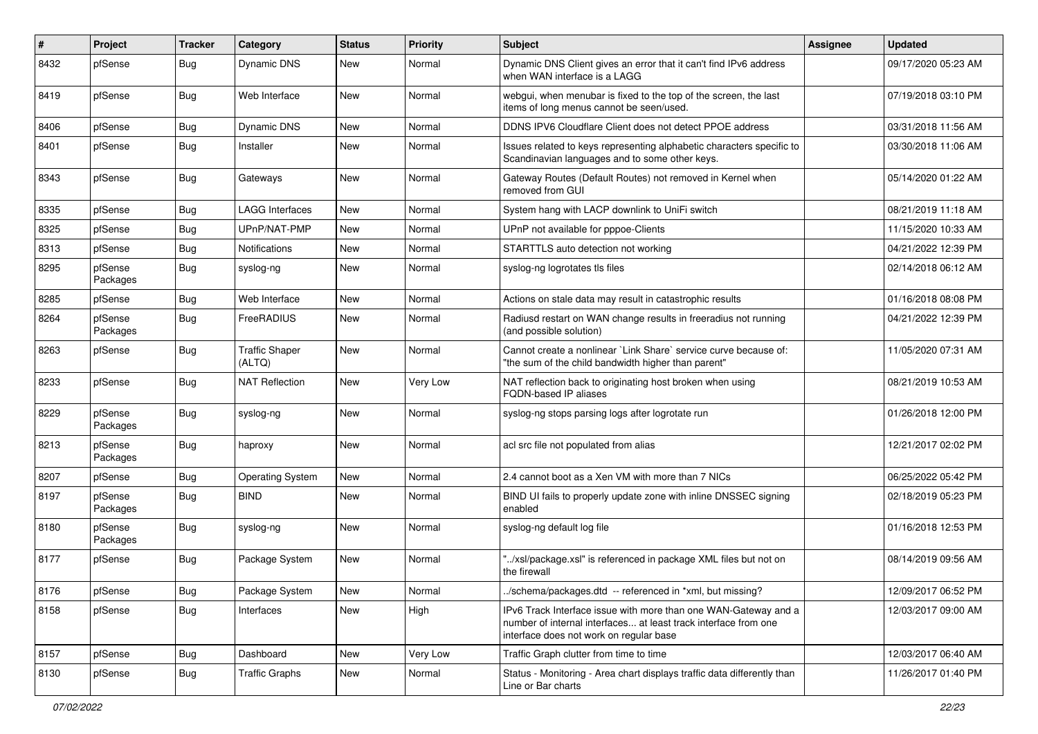| #    | Project             | <b>Tracker</b> | Category                        | <b>Status</b> | Priority | <b>Subject</b>                                                                                                                                                                | <b>Assignee</b> | <b>Updated</b>      |
|------|---------------------|----------------|---------------------------------|---------------|----------|-------------------------------------------------------------------------------------------------------------------------------------------------------------------------------|-----------------|---------------------|
| 8432 | pfSense             | <b>Bug</b>     | Dynamic DNS                     | New           | Normal   | Dynamic DNS Client gives an error that it can't find IPv6 address<br>when WAN interface is a LAGG                                                                             |                 | 09/17/2020 05:23 AM |
| 8419 | pfSense             | <b>Bug</b>     | Web Interface                   | New           | Normal   | webgui, when menubar is fixed to the top of the screen, the last<br>items of long menus cannot be seen/used.                                                                  |                 | 07/19/2018 03:10 PM |
| 8406 | pfSense             | <b>Bug</b>     | <b>Dynamic DNS</b>              | New           | Normal   | DDNS IPV6 Cloudflare Client does not detect PPOE address                                                                                                                      |                 | 03/31/2018 11:56 AM |
| 8401 | pfSense             | <b>Bug</b>     | Installer                       | New           | Normal   | Issues related to keys representing alphabetic characters specific to<br>Scandinavian languages and to some other keys.                                                       |                 | 03/30/2018 11:06 AM |
| 8343 | pfSense             | <b>Bug</b>     | Gateways                        | New           | Normal   | Gateway Routes (Default Routes) not removed in Kernel when<br>removed from GUI                                                                                                |                 | 05/14/2020 01:22 AM |
| 8335 | pfSense             | <b>Bug</b>     | <b>LAGG Interfaces</b>          | New           | Normal   | System hang with LACP downlink to UniFi switch                                                                                                                                |                 | 08/21/2019 11:18 AM |
| 8325 | pfSense             | <b>Bug</b>     | UPnP/NAT-PMP                    | New           | Normal   | UPnP not available for pppoe-Clients                                                                                                                                          |                 | 11/15/2020 10:33 AM |
| 8313 | pfSense             | Bug            | Notifications                   | New           | Normal   | STARTTLS auto detection not working                                                                                                                                           |                 | 04/21/2022 12:39 PM |
| 8295 | pfSense<br>Packages | <b>Bug</b>     | syslog-ng                       | New           | Normal   | syslog-ng logrotates tls files                                                                                                                                                |                 | 02/14/2018 06:12 AM |
| 8285 | pfSense             | <b>Bug</b>     | Web Interface                   | New           | Normal   | Actions on stale data may result in catastrophic results                                                                                                                      |                 | 01/16/2018 08:08 PM |
| 8264 | pfSense<br>Packages | <b>Bug</b>     | FreeRADIUS                      | New           | Normal   | Radiusd restart on WAN change results in freeradius not running<br>(and possible solution)                                                                                    |                 | 04/21/2022 12:39 PM |
| 8263 | pfSense             | Bug            | <b>Traffic Shaper</b><br>(ALTQ) | New           | Normal   | Cannot create a nonlinear `Link Share` service curve because of:<br>"the sum of the child bandwidth higher than parent"                                                       |                 | 11/05/2020 07:31 AM |
| 8233 | pfSense             | <b>Bug</b>     | <b>NAT Reflection</b>           | New           | Very Low | NAT reflection back to originating host broken when using<br><b>FQDN-based IP aliases</b>                                                                                     |                 | 08/21/2019 10:53 AM |
| 8229 | pfSense<br>Packages | <b>Bug</b>     | syslog-ng                       | New           | Normal   | syslog-ng stops parsing logs after logrotate run                                                                                                                              |                 | 01/26/2018 12:00 PM |
| 8213 | pfSense<br>Packages | <b>Bug</b>     | haproxy                         | New           | Normal   | acl src file not populated from alias                                                                                                                                         |                 | 12/21/2017 02:02 PM |
| 8207 | pfSense             | <b>Bug</b>     | <b>Operating System</b>         | New           | Normal   | 2.4 cannot boot as a Xen VM with more than 7 NICs                                                                                                                             |                 | 06/25/2022 05:42 PM |
| 8197 | pfSense<br>Packages | <b>Bug</b>     | <b>BIND</b>                     | New           | Normal   | BIND UI fails to properly update zone with inline DNSSEC signing<br>enabled                                                                                                   |                 | 02/18/2019 05:23 PM |
| 8180 | pfSense<br>Packages | <b>Bug</b>     | syslog-ng                       | New           | Normal   | syslog-ng default log file                                                                                                                                                    |                 | 01/16/2018 12:53 PM |
| 8177 | pfSense             | <b>Bug</b>     | Package System                  | New           | Normal   | '/xsl/package.xsl" is referenced in package XML files but not on<br>the firewall                                                                                              |                 | 08/14/2019 09:56 AM |
| 8176 | pfSense             | <b>Bug</b>     | Package System                  | New           | Normal   | /schema/packages.dtd -- referenced in *xml, but missing?                                                                                                                      |                 | 12/09/2017 06:52 PM |
| 8158 | pfSense             | <b>Bug</b>     | Interfaces                      | New           | High     | IPv6 Track Interface issue with more than one WAN-Gateway and a<br>number of internal interfaces at least track interface from one<br>interface does not work on regular base |                 | 12/03/2017 09:00 AM |
| 8157 | pfSense             | <b>Bug</b>     | Dashboard                       | New           | Very Low | Traffic Graph clutter from time to time                                                                                                                                       |                 | 12/03/2017 06:40 AM |
| 8130 | pfSense             | <b>Bug</b>     | <b>Traffic Graphs</b>           | New           | Normal   | Status - Monitoring - Area chart displays traffic data differently than<br>Line or Bar charts                                                                                 |                 | 11/26/2017 01:40 PM |